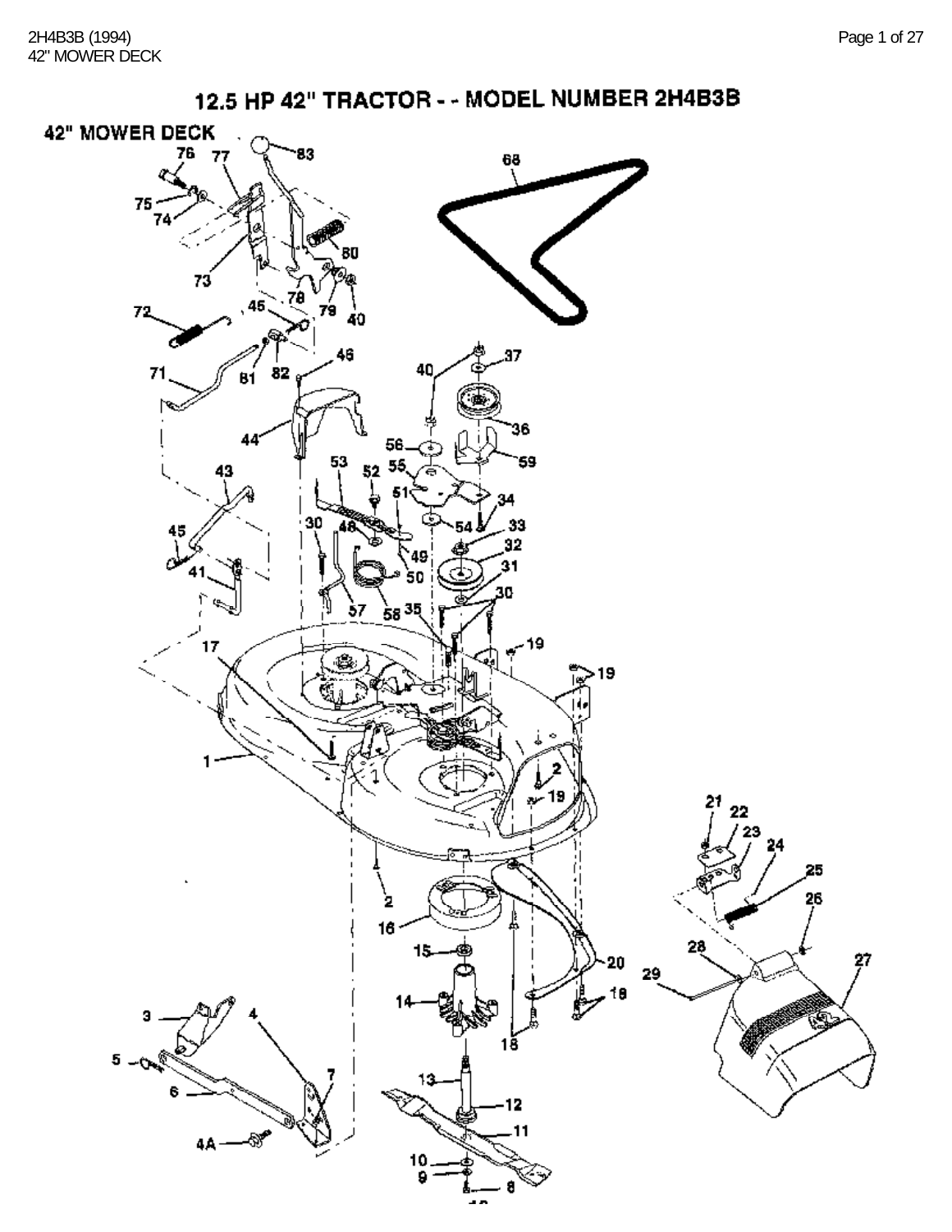

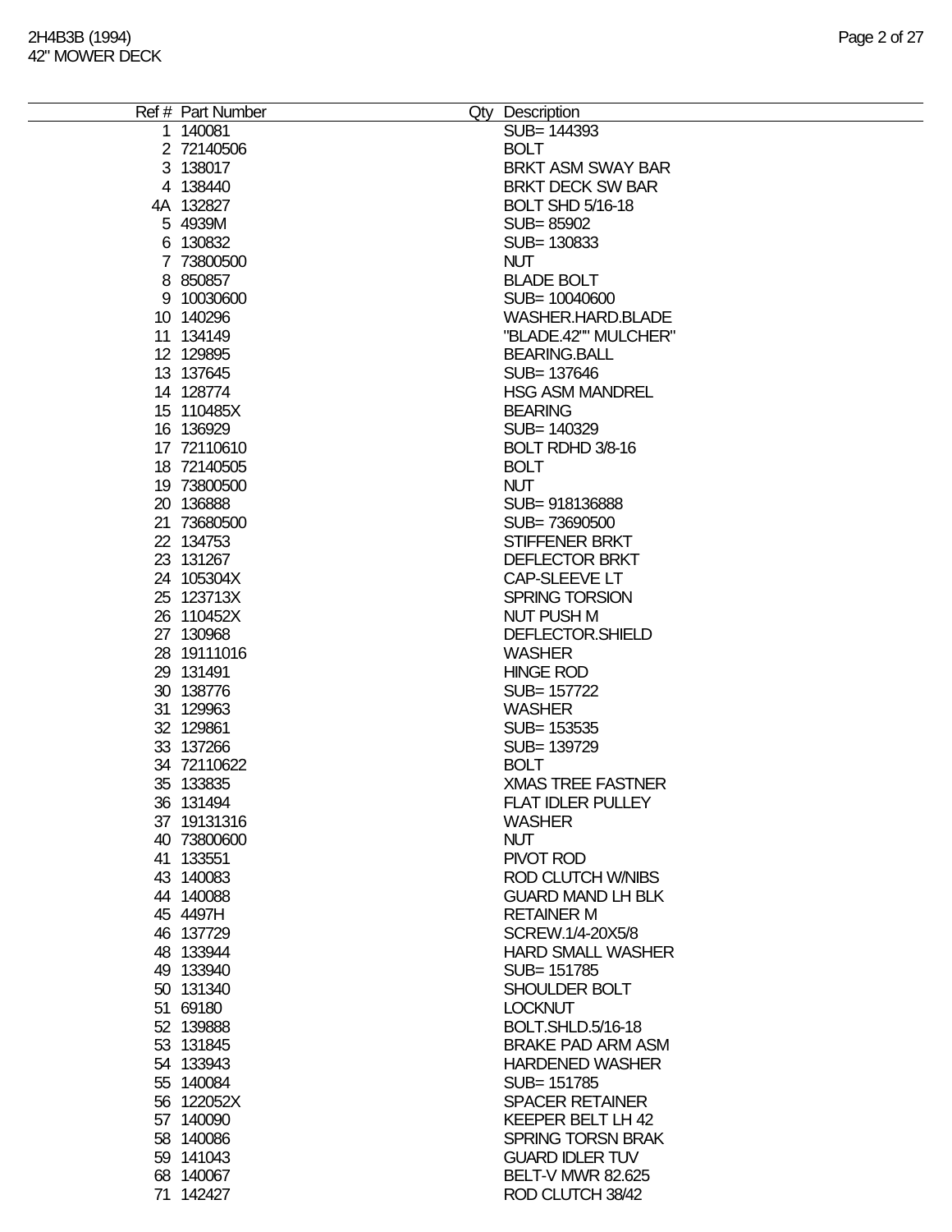| Ref # Part Number | Qty Description          |
|-------------------|--------------------------|
| 1 140081          | SUB= 144393              |
|                   |                          |
| 2 72140506        | <b>BOLT</b>              |
| 3 138017          | BRKT ASM SWAY BAR        |
| 4 138440          | <b>BRKT DECK SW BAR</b>  |
| 4A 132827         | <b>BOLT SHD 5/16-18</b>  |
| 5 4939M           | SUB=85902                |
| 6 130832          | SUB= 130833              |
| 7 73800500        | <b>NUT</b>               |
| 8 850857          | <b>BLADE BOLT</b>        |
| 9 10030600        | SUB= 10040600            |
| 10 140296         | WASHER.HARD.BLADE        |
| 11 134149         | "BLADE.42"" MULCHER"     |
| 12 129895         | <b>BEARING.BALL</b>      |
| 13 137645         | SUB= 137646              |
| 14 128774         | <b>HSG ASM MANDREL</b>   |
| 15 110485X        | <b>BEARING</b>           |
|                   |                          |
| 16 136929         | SUB= 140329              |
| 17 72110610       | BOLT RDHD 3/8-16         |
| 18 72140505       | <b>BOLT</b>              |
| 19 73800500       | <b>NUT</b>               |
| 20 136888         | SUB=918136888            |
| 21 73680500       | SUB=73690500             |
| 22 134753         | <b>STIFFENER BRKT</b>    |
| 23 131267         | <b>DEFLECTOR BRKT</b>    |
| 24 105304X        | CAP-SLEEVE LT            |
| 25 123713X        | SPRING TORSION           |
| 26 110452X        | <b>NUT PUSH M</b>        |
| 27 130968         | DEFLECTOR.SHIELD         |
| 28 19111016       | <b>WASHER</b>            |
| 29 131491         | <b>HINGE ROD</b>         |
|                   |                          |
| 30 138776         | SUB= 157722              |
| 31 129963         | <b>WASHER</b>            |
| 32 129861         | SUB= 153535              |
| 33 137266         | SUB= 139729              |
| 34 72110622       | <b>BOLT</b>              |
| 35 133835         | <b>XMAS TREE FASTNER</b> |
| 36 131494         | FLAT IDLER PULLEY        |
| 37 19131316       | <b>WASHER</b>            |
| 40 73800600       | <b>NUT</b>               |
| 41 133551         | PIVOT ROD                |
| 43 140083         | <b>ROD CLUTCH W/NIBS</b> |
| 44 140088         | <b>GUARD MAND LH BLK</b> |
| 45 4497H          | <b>RETAINER M</b>        |
| 46 137729         | SCREW.1/4-20X5/8         |
| 48 133944         | <b>HARD SMALL WASHER</b> |
| 49 133940         | SUB= 151785              |
| 50 131340         | SHOULDER BOLT            |
| 51 69180          | <b>LOCKNUT</b>           |
| 52 139888         | BOLT.SHLD.5/16-18        |
|                   |                          |
| 53 131845         | <b>BRAKE PAD ARM ASM</b> |
| 54 133943         | <b>HARDENED WASHER</b>   |
| 55 140084         | SUB= 151785              |
| 56 122052X        | <b>SPACER RETAINER</b>   |
| 57 140090         | KEEPER BELT LH 42        |
| 58 140086         | <b>SPRING TORSN BRAK</b> |
| 59 141043         | <b>GUARD IDLER TUV</b>   |
| 68 140067         | <b>BELT-V MWR 82.625</b> |
| 71 142427         | ROD CLUTCH 38/42         |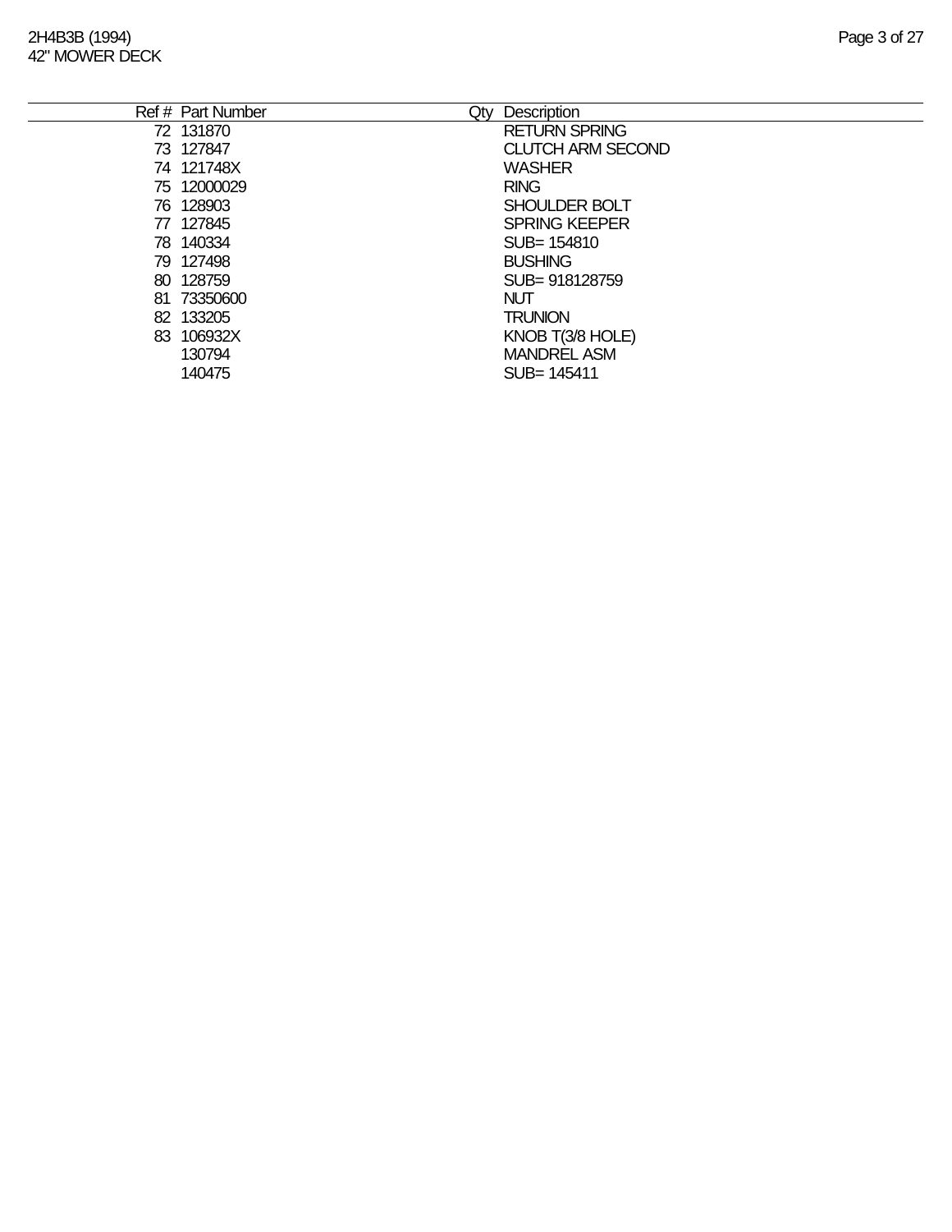|     | Ref # Part Number | Qty | Description              |
|-----|-------------------|-----|--------------------------|
|     | 72 131870         |     | <b>RETURN SPRING</b>     |
|     | 73 127847         |     | <b>CLUTCH ARM SECOND</b> |
|     | 74 121748X        |     | <b>WASHER</b>            |
|     | 75 12000029       |     | <b>RING</b>              |
|     | 76 128903         |     | SHOULDER BOLT            |
| 77. | 127845            |     | <b>SPRING KEEPER</b>     |
|     | 78 140334         |     | SUB= 154810              |
|     | 79 127498         |     | <b>BUSHING</b>           |
| 80  | 128759            |     | SUB= 918128759           |
| 81. | 73350600          |     | <b>NUT</b>               |
|     | 82 133205         |     | <b>TRUNION</b>           |
|     | 83 106932X        |     | KNOB T(3/8 HOLE)         |
|     | 130794            |     | <b>MANDREL ASM</b>       |
|     | 140475            |     | SUB= 145411              |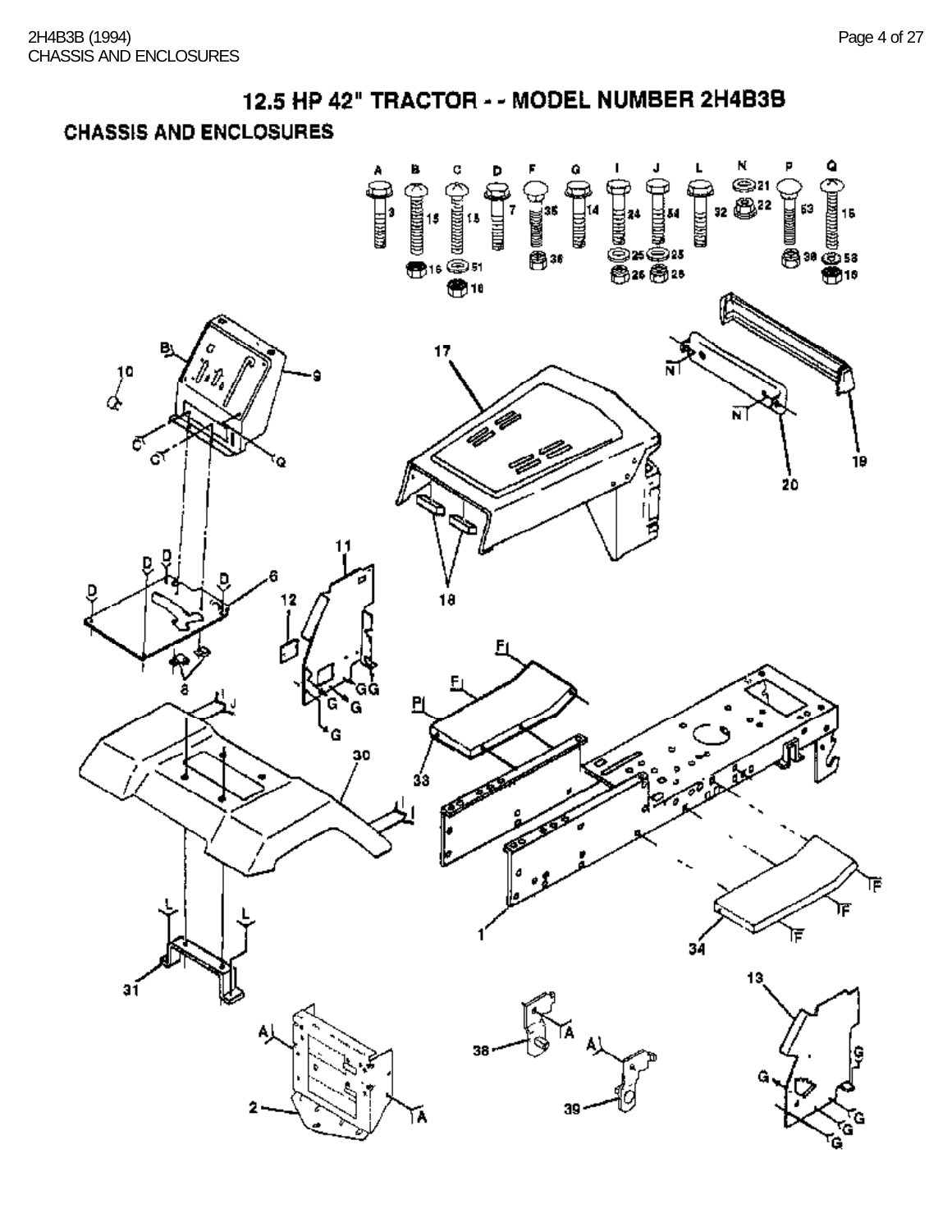### **CHASSIS AND ENCLOSURES**

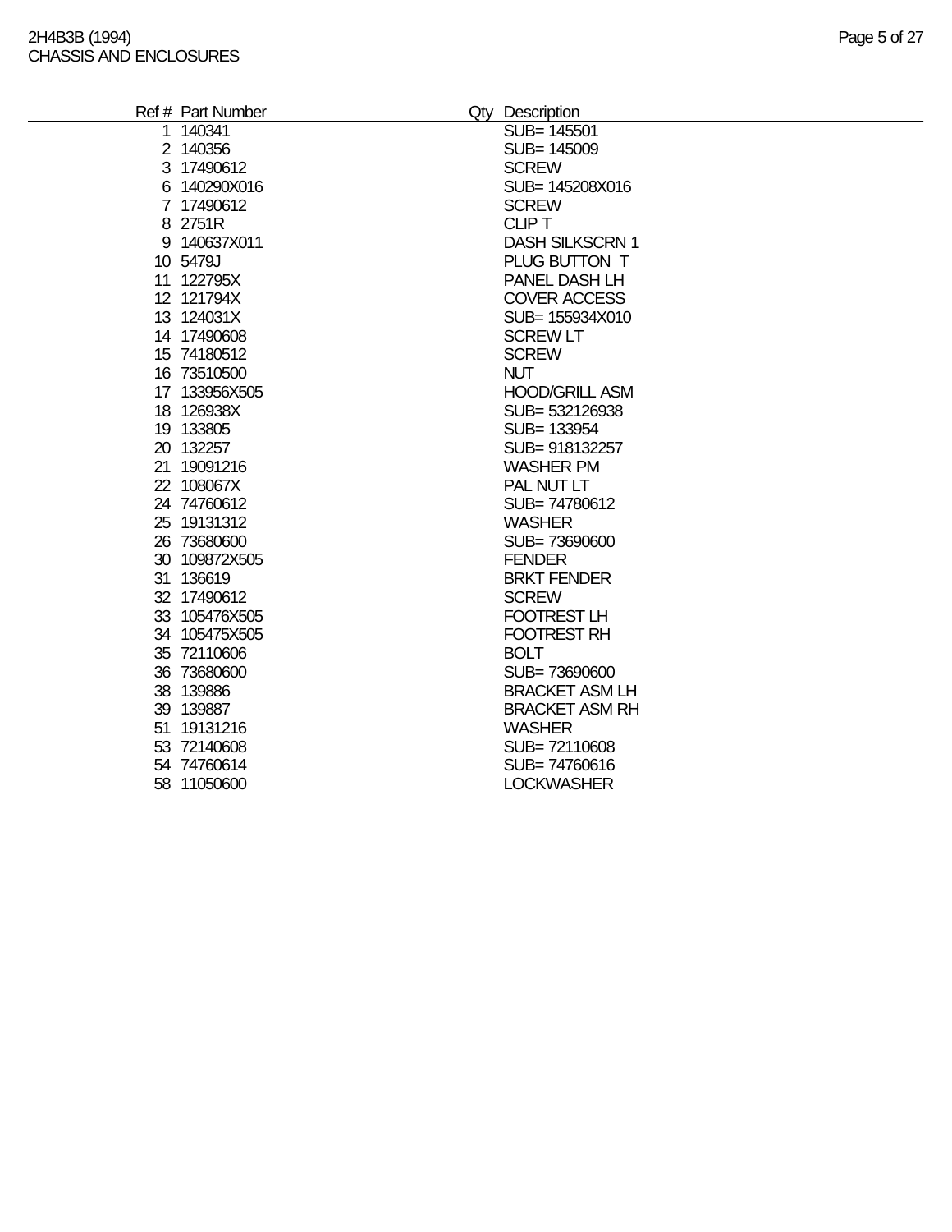| Ref # Part Number | Qty Description        |
|-------------------|------------------------|
| 1 140341          | SUB= 145501            |
| 2 140356          | SUB= 145009            |
| 3 17490612        | <b>SCREW</b>           |
| 6 140290X016      | SUB= 145208X016        |
| 7 17490612        | <b>SCREW</b>           |
| 8 2751R           | <b>CLIP T</b>          |
| 9 140637X011      | <b>DASH SILKSCRN 1</b> |
| 10 5479J          | PLUG BUTTON T          |
| 11 122795X        | PANEL DASH LH          |
| 12 121794X        | <b>COVER ACCESS</b>    |
| 13 124031X        | SUB= 155934X010        |
| 14 17490608       | <b>SCREW LT</b>        |
| 15 74180512       | <b>SCREW</b>           |
| 16 73510500       | <b>NUT</b>             |
| 17 133956X505     | <b>HOOD/GRILL ASM</b>  |
| 18 126938X        | SUB= 532126938         |
| 19 133805         | SUB= 133954            |
| 20 132257         | SUB= 918132257         |
| 21 19091216       | <b>WASHER PM</b>       |
| 22 108067X        | PAL NUT LT             |
| 24 74760612       | SUB=74780612           |
| 25 19131312       | <b>WASHER</b>          |
| 26 73680600       | SUB=73690600           |
| 30 109872X505     | <b>FENDER</b>          |
| 31 136619         | <b>BRKT FENDER</b>     |
| 32 17490612       | <b>SCREW</b>           |
| 33 105476X505     | <b>FOOTREST LH</b>     |
| 34 105475X505     | <b>FOOTREST RH</b>     |
| 35 72110606       | <b>BOLT</b>            |
| 36 73680600       | SUB=73690600           |
| 38 139886         | <b>BRACKET ASM LH</b>  |
| 39 139887         | <b>BRACKET ASM RH</b>  |
| 51 19131216       | <b>WASHER</b>          |
| 53 72140608       | SUB=72110608           |
| 54 74760614       | SUB=74760616           |
| 58 11050600       | <b>LOCKWASHER</b>      |
|                   |                        |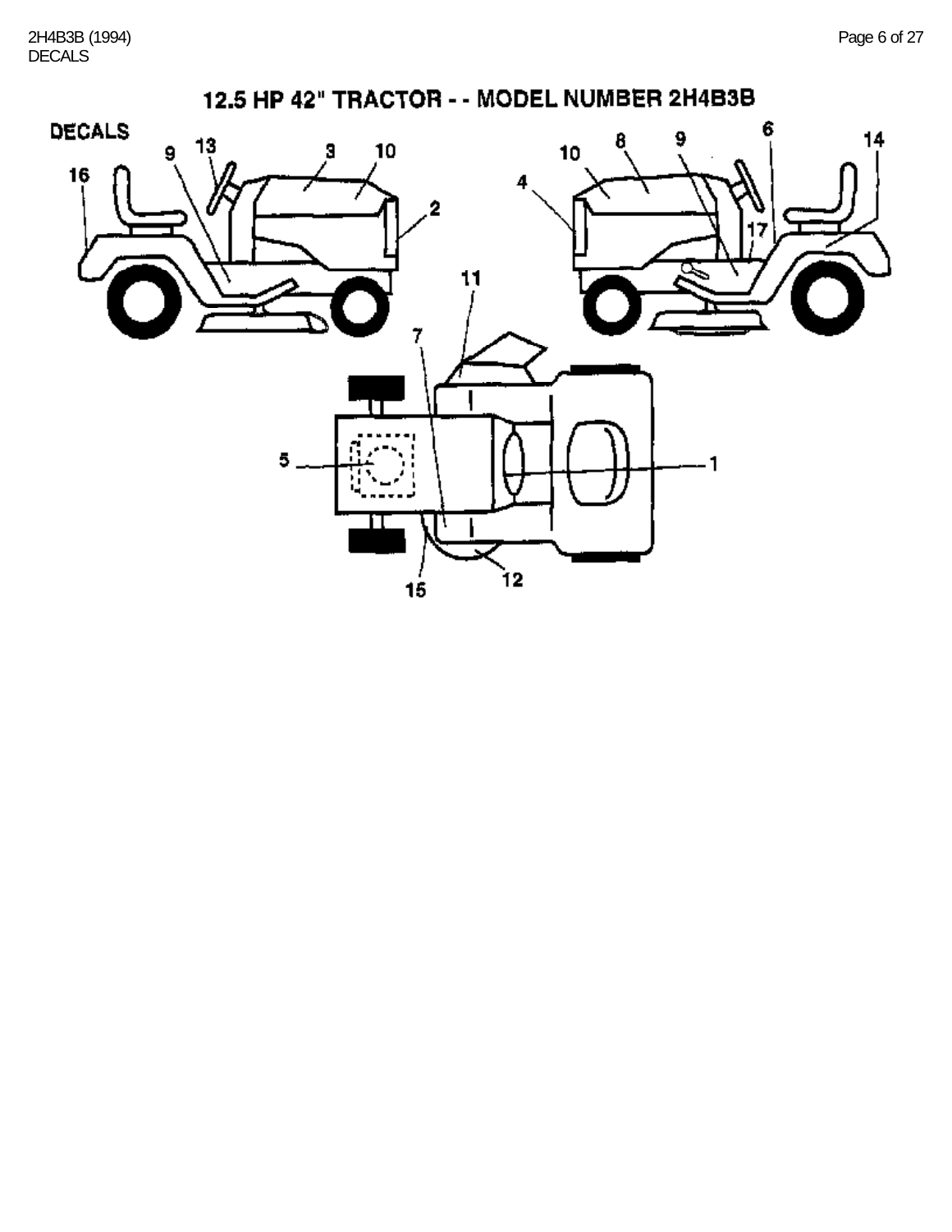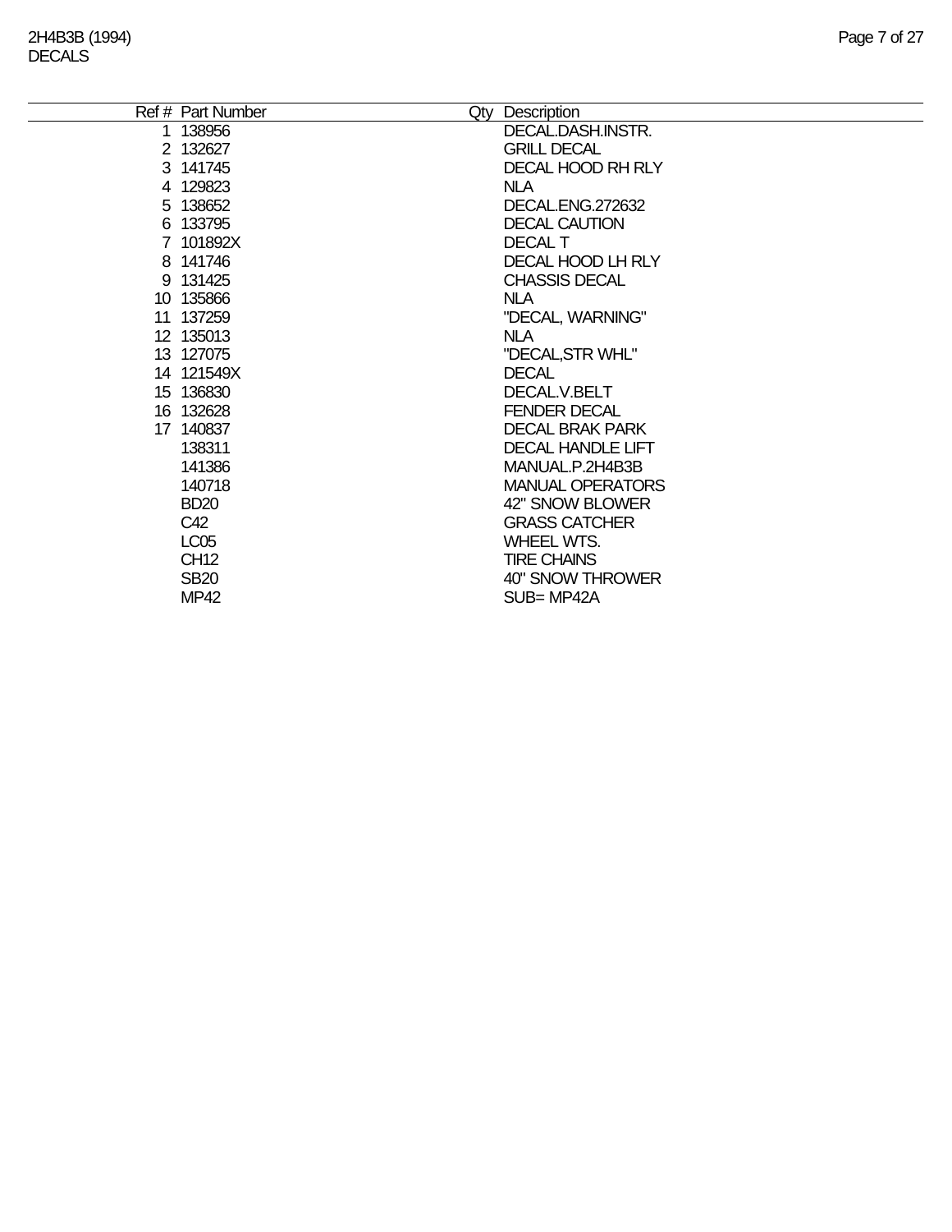÷,

| Ref # Part Number | Qty Description         |
|-------------------|-------------------------|
| 138956            | DECAL.DASH.INSTR.       |
| 2 132627          | <b>GRILL DECAL</b>      |
| 3 141745          | DECAL HOOD RH RLY       |
| 4 129823          | NLA.                    |
| 5 138652          | DECAL.ENG.272632        |
| 6 133795          | <b>DECAL CAUTION</b>    |
| 7 101892X         | <b>DECAL T</b>          |
| 8 141746          | DECAL HOOD LH RLY       |
| 9 131425          | <b>CHASSIS DECAL</b>    |
| 10 135866         | <b>NLA</b>              |
| 11 137259         | "DECAL, WARNING"        |
| 12 135013         | <b>NLA</b>              |
| 13 127075         | "DECAL, STR WHL"        |
| 14 121549X        | <b>DECAL</b>            |
| 15 136830         | DECAL.V.BELT            |
| 16 132628         | <b>FENDER DECAL</b>     |
| 17 140837         | <b>DECAL BRAK PARK</b>  |
| 138311            | DECAL HANDLE LIFT       |
| 141386            | MANUAL.P.2H4B3B         |
| 140718            | <b>MANUAL OPERATORS</b> |
| <b>BD20</b>       | 42" SNOW BLOWER         |
| C42               | <b>GRASS CATCHER</b>    |
| LC <sub>05</sub>  | <b>WHEEL WTS.</b>       |
| <b>CH12</b>       | <b>TIRE CHAINS</b>      |
| <b>SB20</b>       | 40" SNOW THROWER        |
| <b>MP42</b>       | SUB=MP42A               |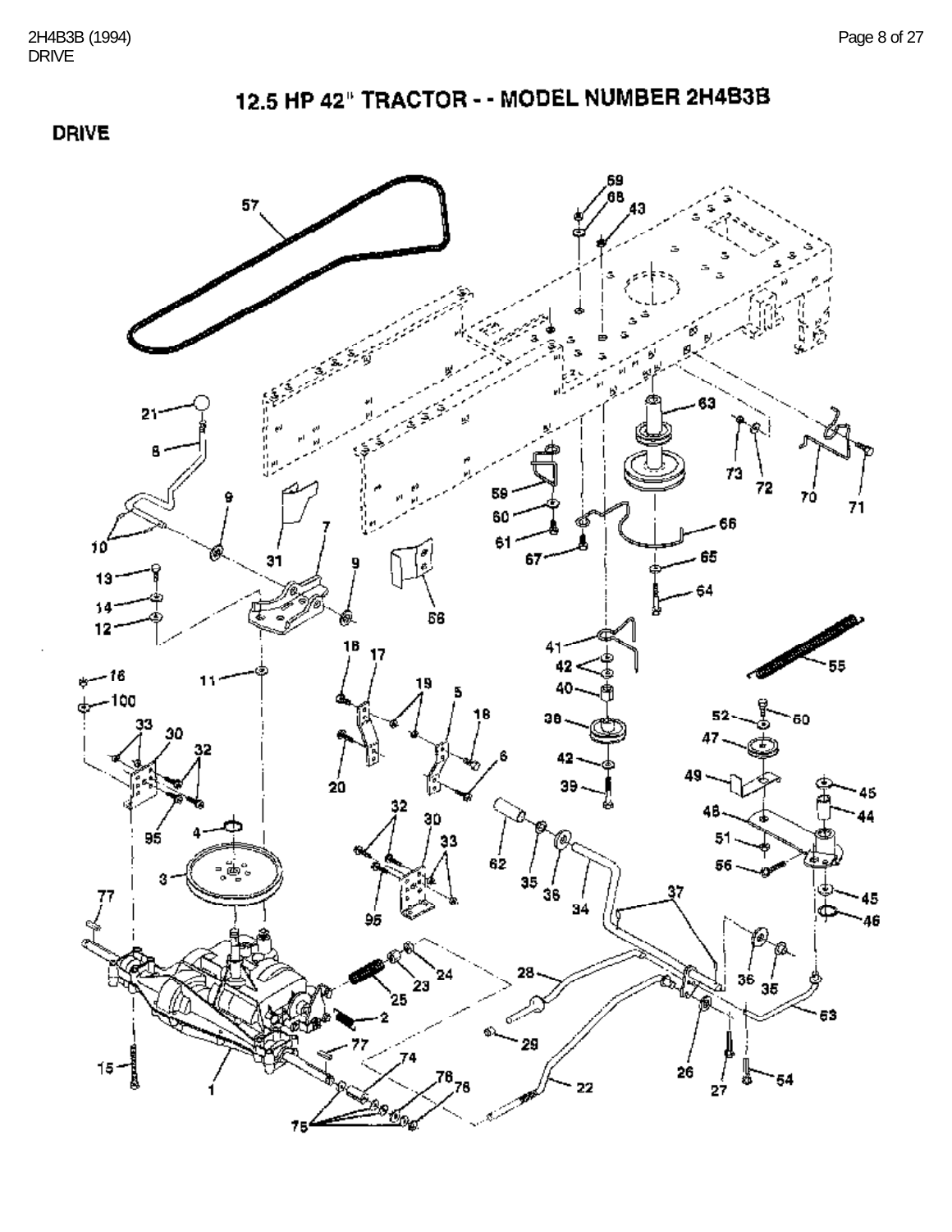**DRIVE** 

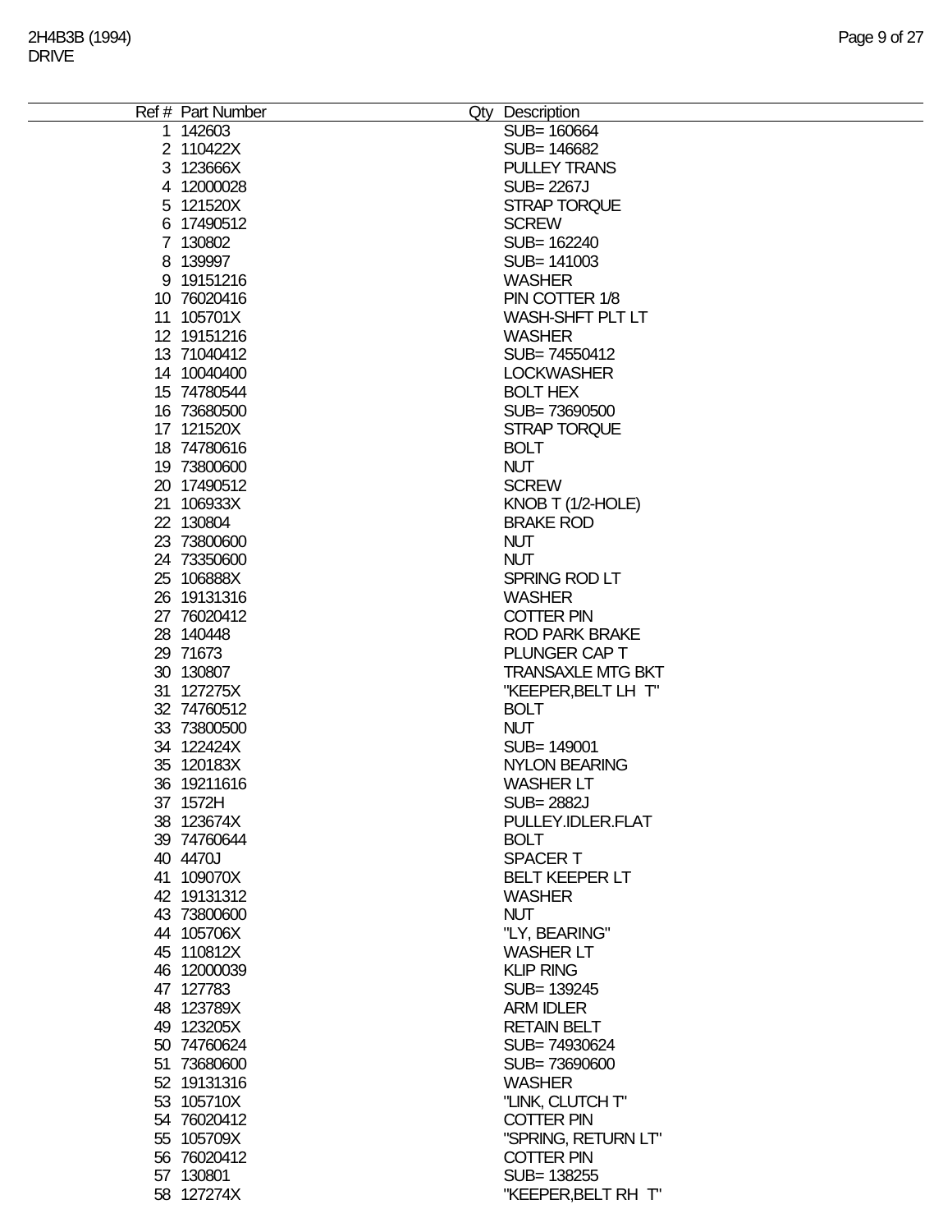| Ref # Part Number | Qty Description          |
|-------------------|--------------------------|
| 1 142603          | SUB= 160664              |
| 2 110422X         | SUB= 146682              |
|                   |                          |
| 3 123666X         | <b>PULLEY TRANS</b>      |
| 4 12000028        | SUB= 2267J               |
| 5 121520X         | <b>STRAP TORQUE</b>      |
| 6 17490512        | <b>SCREW</b>             |
|                   |                          |
| 7 130802          | SUB= 162240              |
| 8 139997          | SUB= 141003              |
| 9 19151216        | <b>WASHER</b>            |
| 10 76020416       | PIN COTTER 1/8           |
|                   |                          |
| 11 105701X        | WASH-SHFT PLT LT         |
| 12 19151216       | <b>WASHER</b>            |
| 13 71040412       | SUB=74550412             |
|                   |                          |
| 14 10040400       | <b>LOCKWASHER</b>        |
| 15 74780544       | <b>BOLT HEX</b>          |
| 16 73680500       | SUB=73690500             |
| 17 121520X        | <b>STRAP TORQUE</b>      |
|                   |                          |
| 18 74780616       | <b>BOLT</b>              |
| 19 73800600       | <b>NUT</b>               |
| 20 17490512       | <b>SCREW</b>             |
| 21 106933X        |                          |
|                   | KNOB T (1/2-HOLE)        |
| 22 130804         | <b>BRAKE ROD</b>         |
| 23 73800600       | NUT                      |
| 24 73350600       | <b>NUT</b>               |
|                   |                          |
| 25 106888X        | SPRING ROD LT            |
| 26 19131316       | <b>WASHER</b>            |
| 27 76020412       | <b>COTTER PIN</b>        |
| 28 140448         | <b>ROD PARK BRAKE</b>    |
|                   |                          |
| 29 71673          | PLUNGER CAP T            |
| 30 130807         | <b>TRANSAXLE MTG BKT</b> |
| 31 127275X        | "KEEPER, BELT LH T"      |
| 32 74760512       | <b>BOLT</b>              |
|                   |                          |
| 33 73800500       | <b>NUT</b>               |
| 34 122424X        | SUB= 149001              |
| 35 120183X        | <b>NYLON BEARING</b>     |
| 36 19211616       | <b>WASHER LT</b>         |
|                   |                          |
| 37 1572H          | <b>SUB=2882J</b>         |
| 38 123674X        | PULLEY.IDLER.FLAT        |
| 39 74760644       | <b>BOLT</b>              |
| 40 4470J          | <b>SPACERT</b>           |
|                   |                          |
| 41 109070X        | <b>BELT KEEPER LT</b>    |
| 42 19131312       | <b>WASHER</b>            |
| 43 73800600       | <b>NUT</b>               |
| 44 105706X        | "LY, BEARING"            |
|                   |                          |
| 45 110812X        | <b>WASHER LT</b>         |
| 46 12000039       | <b>KLIP RING</b>         |
| 47 127783         | SUB= 139245              |
| 48 123789X        | <b>ARM IDLER</b>         |
|                   |                          |
| 49 123205X        | <b>RETAIN BELT</b>       |
| 50 74760624       | SUB=74930624             |
| 51 73680600       | SUB=73690600             |
| 52 19131316       | <b>WASHER</b>            |
|                   |                          |
| 53 105710X        | "LINK, CLUTCH T"         |
| 54 76020412       | <b>COTTER PIN</b>        |
| 55 105709X        | "SPRING, RETURN LT"      |
| 56 76020412       | <b>COTTER PIN</b>        |
|                   |                          |
| 57 130801         | SUB= 138255              |
| 58 127274X        | "KEEPER, BELT RH T"      |
|                   |                          |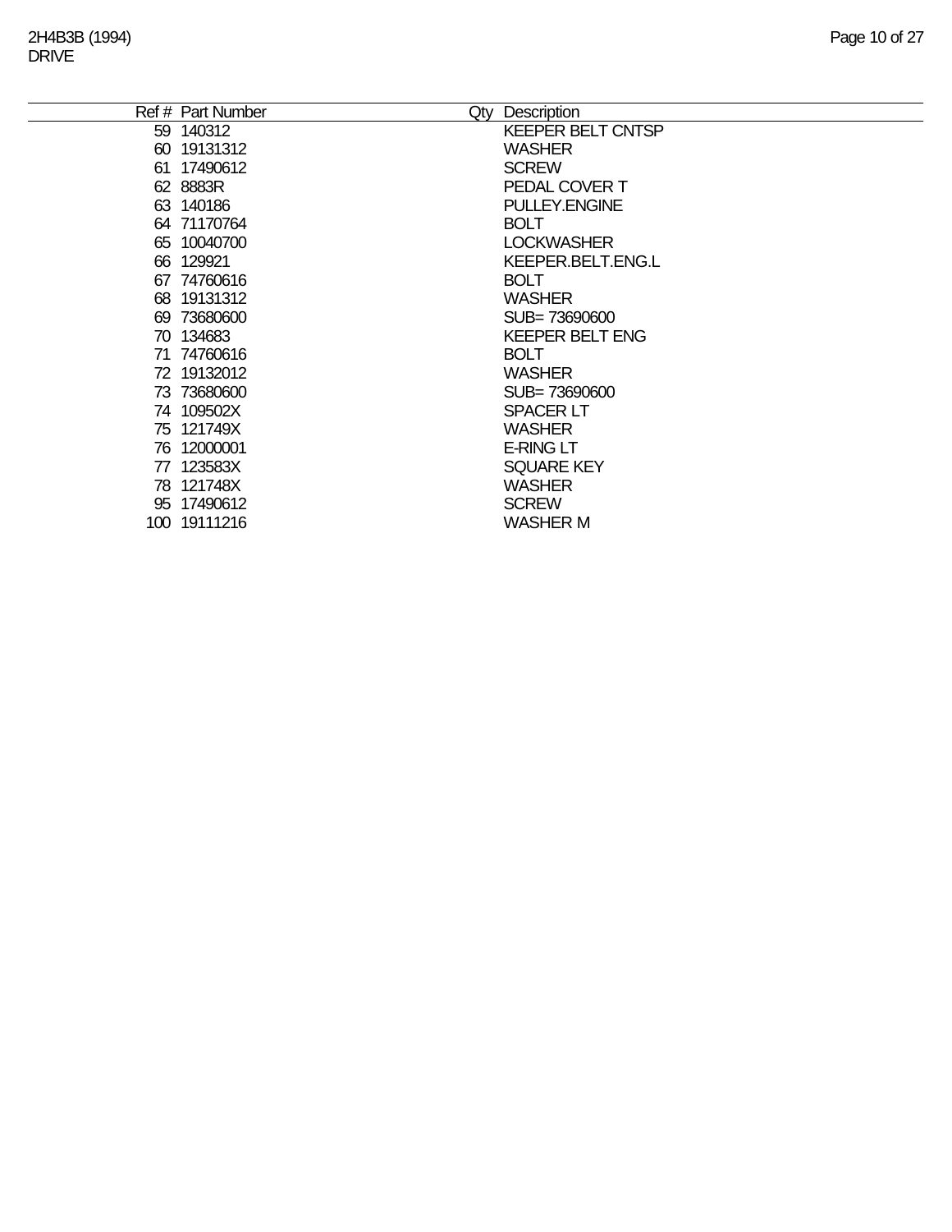|     | Ref # Part Number | Qty | Description              |
|-----|-------------------|-----|--------------------------|
|     | 59 140312         |     | <b>KEEPER BELT CNTSP</b> |
|     | 60 19131312       |     | <b>WASHER</b>            |
| 61. | 17490612          |     | <b>SCREW</b>             |
|     | 62 8883R          |     | PEDAL COVER T            |
|     | 63 140186         |     | <b>PULLEY.ENGINE</b>     |
|     | 64 71170764       |     | <b>BOLT</b>              |
|     | 65 10040700       |     | <b>LOCKWASHER</b>        |
|     | 66 129921         |     | <b>KEEPER.BELT.ENG.L</b> |
|     | 67 74760616       |     | <b>BOLT</b>              |
|     | 68 19131312       |     | <b>WASHER</b>            |
|     | 69 73680600       |     | SUB= 73690600            |
|     | 70 134683         |     | <b>KEEPER BELT ENG</b>   |
|     | 71 74760616       |     | <b>BOLT</b>              |
|     | 72 19132012       |     | <b>WASHER</b>            |
|     | 73 73680600       |     | SUB=73690600             |
|     | 74 109502X        |     | <b>SPACER LT</b>         |
|     | 75 121749X        |     | <b>WASHER</b>            |
|     | 76 12000001       |     | <b>E-RING LT</b>         |
|     | 77 123583X        |     | <b>SQUARE KEY</b>        |
|     | 78 121748X        |     | <b>WASHER</b>            |
|     | 95 17490612       |     | <b>SCREW</b>             |
|     | 100 19111216      |     | <b>WASHER M</b>          |
|     |                   |     |                          |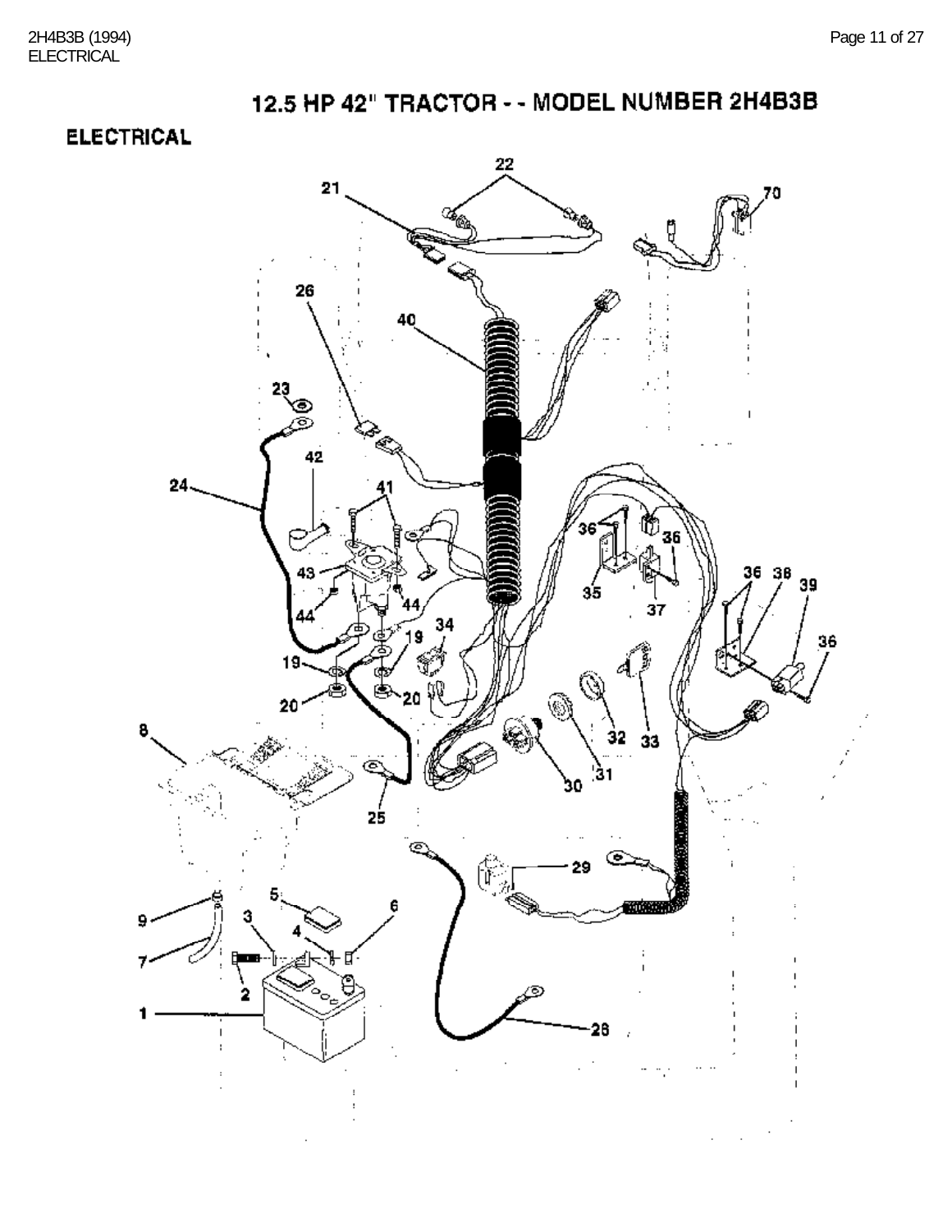**ELECTRICAL** 

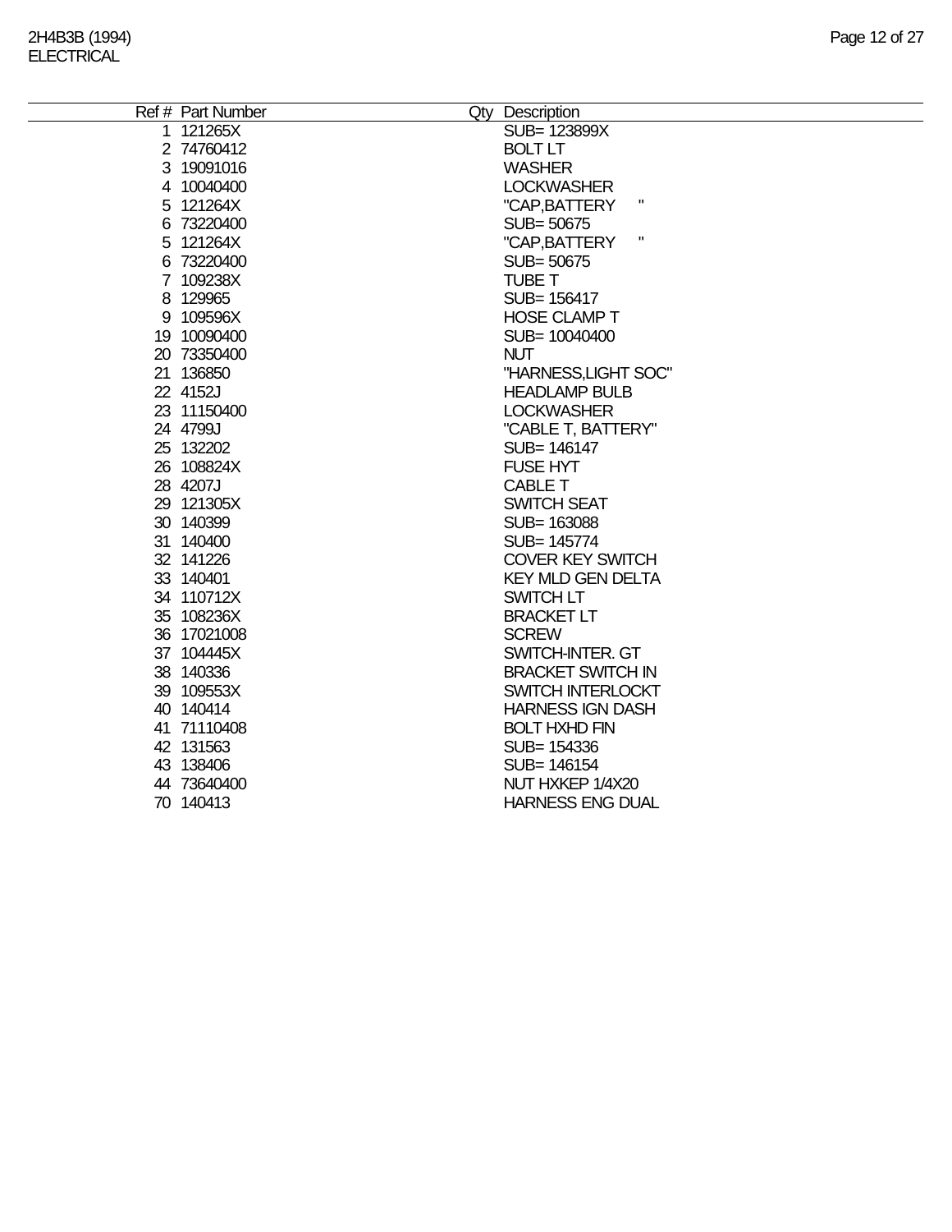| Ref # Part Number | Qty Description                     |
|-------------------|-------------------------------------|
| 1 121265X         | SUB= 123899X                        |
| 2 74760412        | <b>BOLT LT</b>                      |
| 3 19091016        | <b>WASHER</b>                       |
| 4 10040400        | <b>LOCKWASHER</b>                   |
| 5 121264X         | п<br>"CAP, BATTERY                  |
| 6 73220400        | SUB= 50675                          |
| 5 121264X         | $\pmb{\mathsf{H}}$<br>"CAP, BATTERY |
| 6 73220400        | SUB= 50675                          |
| 7 109238X         | <b>TUBE T</b>                       |
| 8 129965          | SUB= 156417                         |
| 9 109596X         | <b>HOSE CLAMP T</b>                 |
| 19 10090400       | SUB= 10040400                       |
| 20 73350400       | <b>NUT</b>                          |
| 21 136850         | "HARNESS, LIGHT SOC"                |
| 22 4152J          | <b>HEADLAMP BULB</b>                |
| 23 11150400       | <b>LOCKWASHER</b>                   |
| 24 4799J          | "CABLE T, BATTERY"                  |
| 25 132202         | SUB= 146147                         |
| 26 108824X        | <b>FUSE HYT</b>                     |
| 28 4207J          | <b>CABLE T</b>                      |
| 29 121305X        | <b>SWITCH SEAT</b>                  |
| 30 140399         | SUB= 163088                         |
| 31 140400         | SUB= 145774                         |
| 32 141226         | <b>COVER KEY SWITCH</b>             |
| 33 140401         | <b>KEY MLD GEN DELTA</b>            |
| 34 110712X        | SWITCH LT                           |
| 35 108236X        | <b>BRACKET LT</b>                   |
| 36 17021008       | <b>SCREW</b>                        |
| 37 104445X        | SWITCH-INTER. GT                    |
| 38 140336         | <b>BRACKET SWITCH IN</b>            |
| 39 109553X        | SWITCH INTERLOCKT                   |
| 40 140 414        | <b>HARNESS IGN DASH</b>             |
| 41 71110408       | <b>BOLT HXHD FIN</b>                |
| 42 131563         | SUB= 154336                         |
| 43 138406         | SUB= 146154                         |
| 44 73640400       | NUT HXKEP 1/4X20                    |
| 70 140413         | <b>HARNESS ENG DUAL</b>             |
|                   |                                     |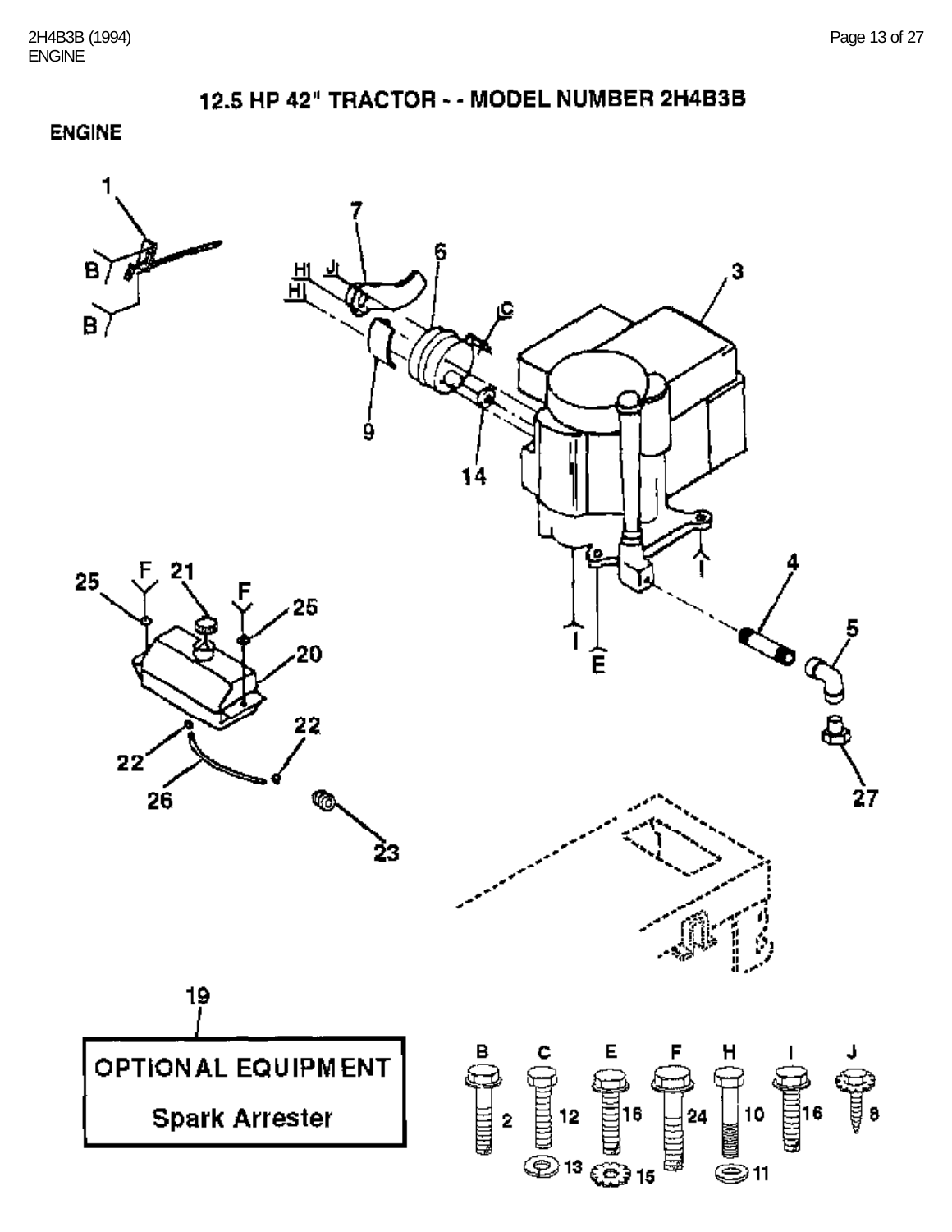**ENGINE** 

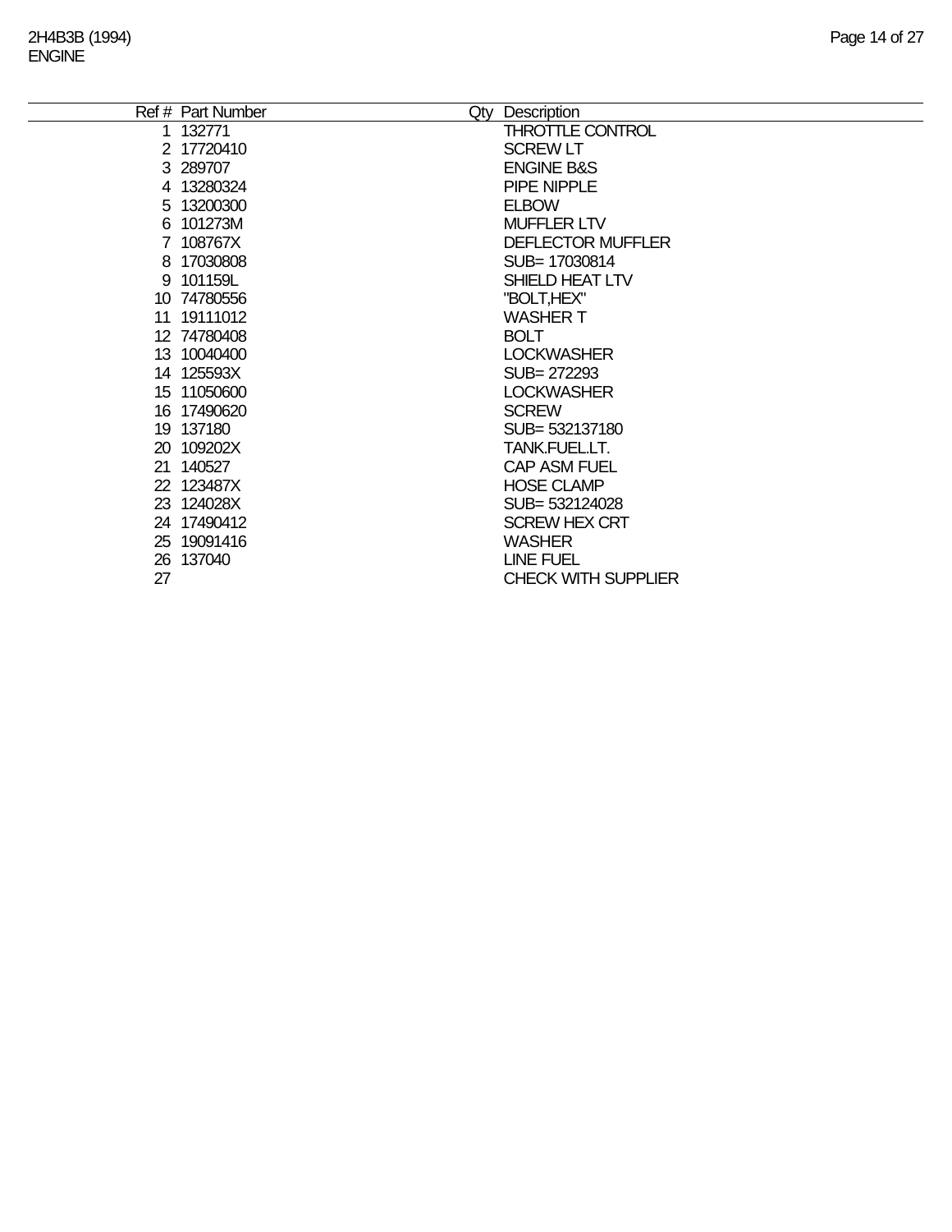|    | Ref # Part Number | Qty Description            |
|----|-------------------|----------------------------|
|    | 1 132771          | <b>THROTTLE CONTROL</b>    |
|    | 2 17720410        | <b>SCREW LT</b>            |
|    | 3 289707          | <b>ENGINE B&amp;S</b>      |
|    | 4 13280324        | PIPE NIPPLE                |
|    | 5 13200300        | <b>ELBOW</b>               |
|    | 6 101273M         | <b>MUFFLER LTV</b>         |
|    | 7 108767X         | <b>DEFLECTOR MUFFLER</b>   |
|    | 8 17030808        | SUB= 17030814              |
|    | 9 101159L         | SHIELD HEAT LTV            |
|    | 10 74780556       | "BOLT,HEX"                 |
|    | 11 19111012       | <b>WASHER T</b>            |
|    | 12 74780408       | <b>BOLT</b>                |
|    | 13 10040400       | <b>LOCKWASHER</b>          |
|    | 14 125593X        | SUB= 272293                |
|    | 15 11050600       | <b>LOCKWASHER</b>          |
|    | 16 17490620       | <b>SCREW</b>               |
|    | 19 137180         | SUB= 532137180             |
|    | 20 109202X        | TANK.FUEL.LT.              |
|    | 21 140527         | <b>CAP ASM FUEL</b>        |
|    | 22 123487X        | <b>HOSE CLAMP</b>          |
|    | 23 124028X        | SUB= 532124028             |
|    | 24 17490412       | <b>SCREW HEX CRT</b>       |
|    | 25 19091416       | <b>WASHER</b>              |
|    | 26 137040         | <b>LINE FUEL</b>           |
| 27 |                   | <b>CHECK WITH SUPPLIER</b> |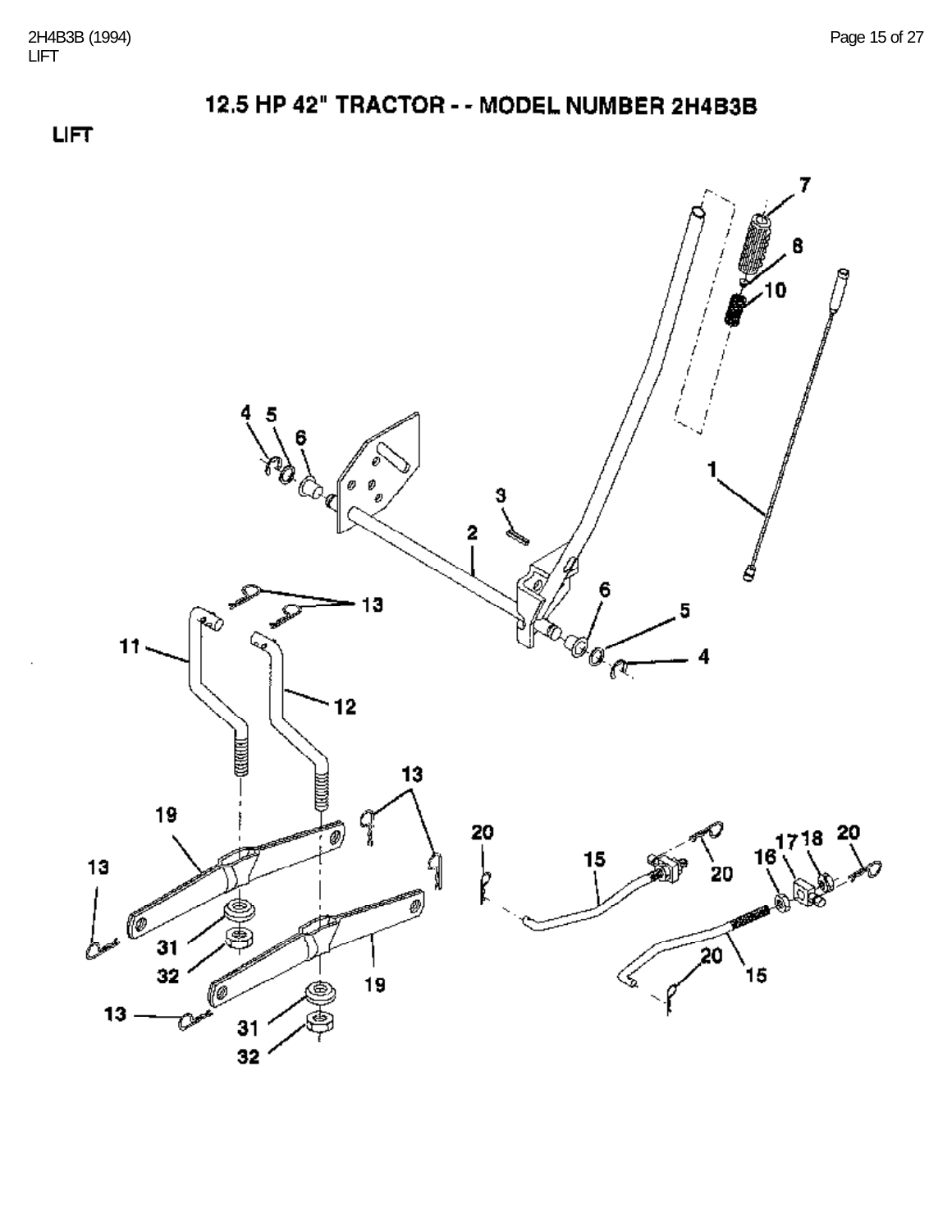

19

C

 $13<sub>1</sub>$ 

31

32

TØ.

31 32

2H4B3B (1994) Page 15 of 27 LIFT

20

้15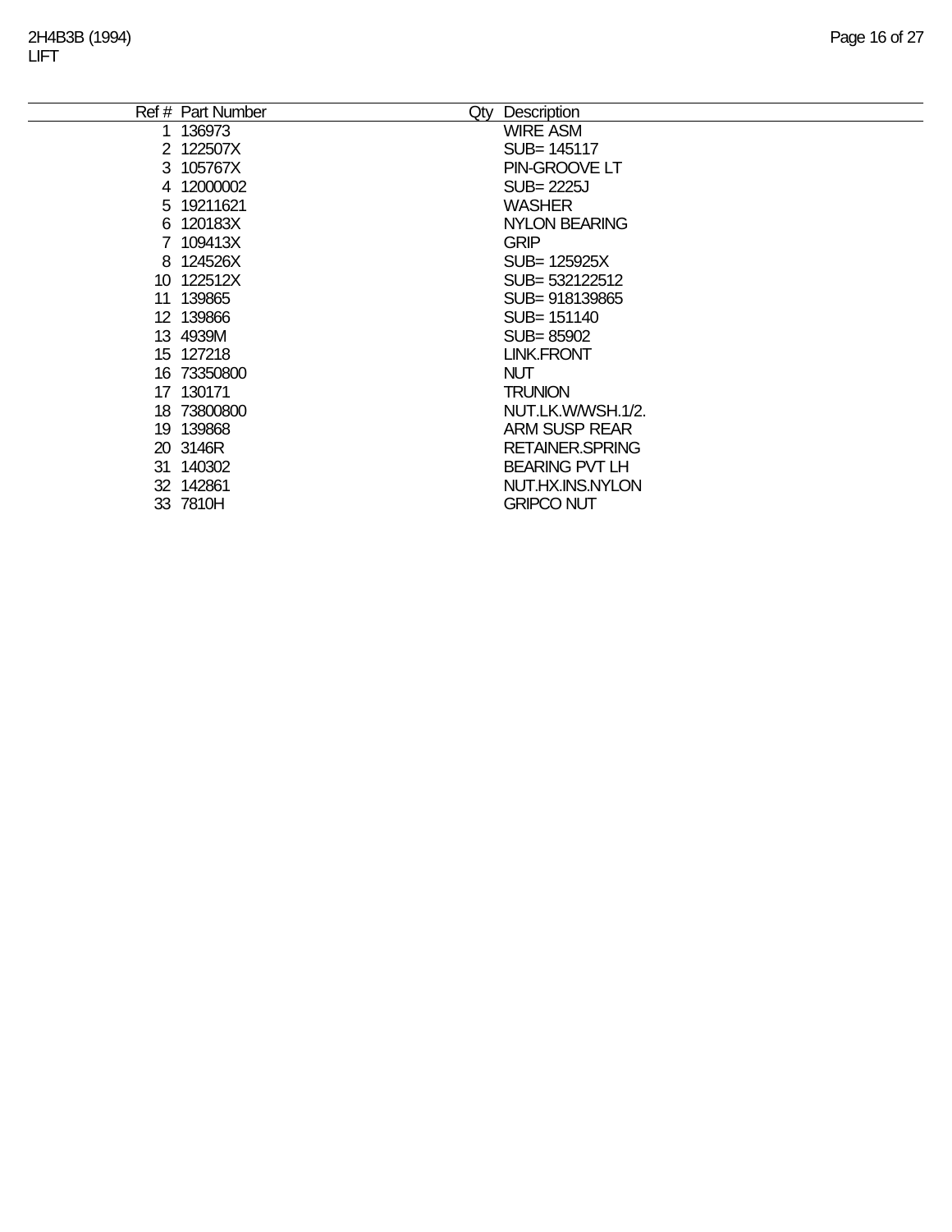|     | Ref # Part Number | Description<br>Qty     |
|-----|-------------------|------------------------|
| 1   | 136973            | <b>WIRE ASM</b>        |
|     | 2 122507X         | SUB= 145117            |
|     | 3 105767X         | PIN-GROOVE LT          |
|     | 4 12000002        | <b>SUB=2225J</b>       |
|     | 5 19211621        | <b>WASHER</b>          |
|     | 6 120183X         | <b>NYLON BEARING</b>   |
|     | 7 109413X         | <b>GRIP</b>            |
|     | 8 124526X         | SUB= 125925X           |
|     | 10 122512X        | SUB= 532122512         |
| 11  | 139865            | SUB=918139865          |
|     | 12 139866         | SUB= 151140            |
|     | 13 4939M          | SUB=85902              |
|     | 15 127218         | <b>LINK.FRONT</b>      |
|     | 16 73350800       | <b>NUT</b>             |
|     | 17 130171         | <b>TRUNION</b>         |
| 18. | 73800800          | NUT.LK.W/WSH.1/2.      |
|     | 19 139868         | <b>ARM SUSP REAR</b>   |
|     | 20 3146R          | <b>RETAINER.SPRING</b> |
| 31. | 140302            | <b>BEARING PVT LH</b>  |
|     | 32 142861         | NUT.HX.INS.NYLON       |
|     | 33 7810H          | <b>GRIPCO NUT</b>      |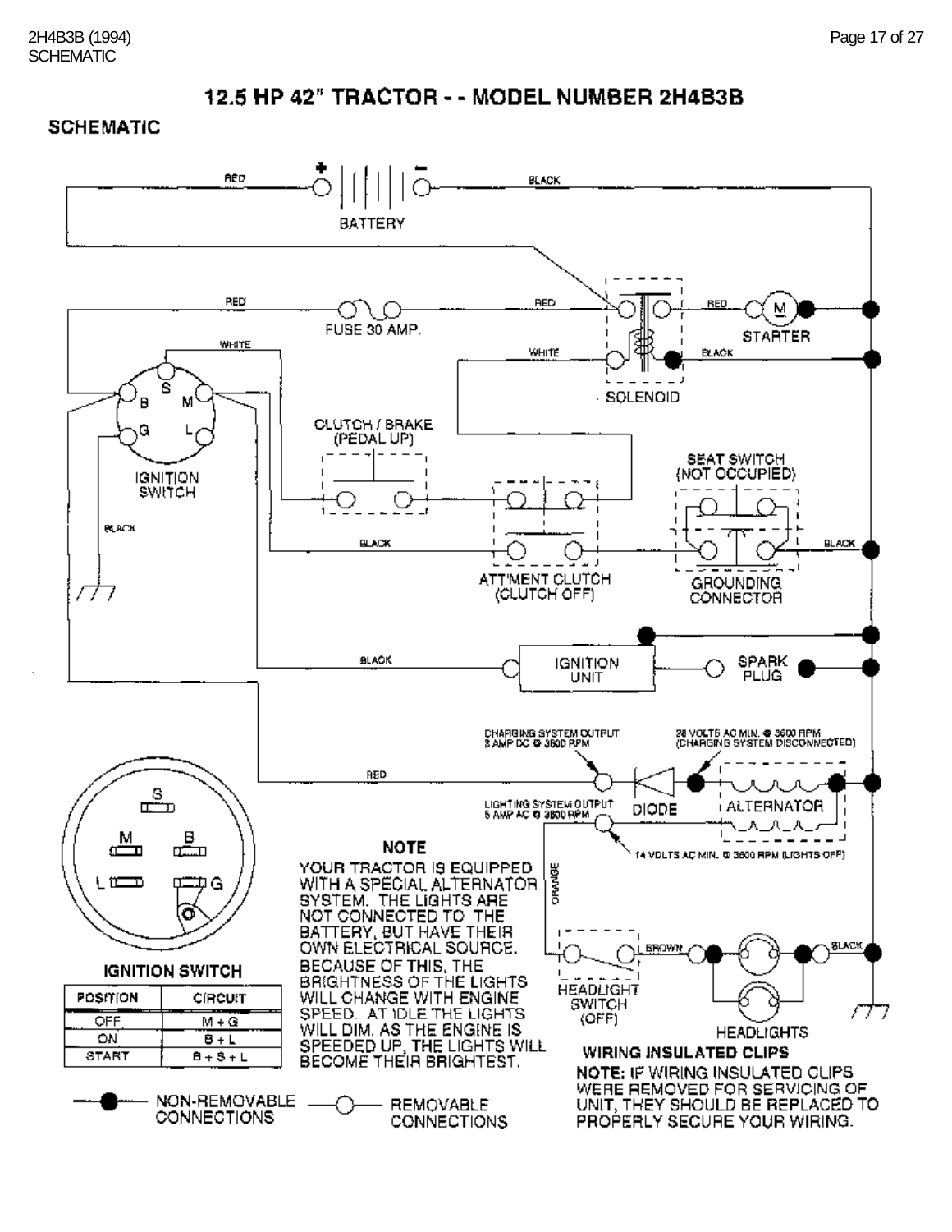#### **SCHEMATIC**

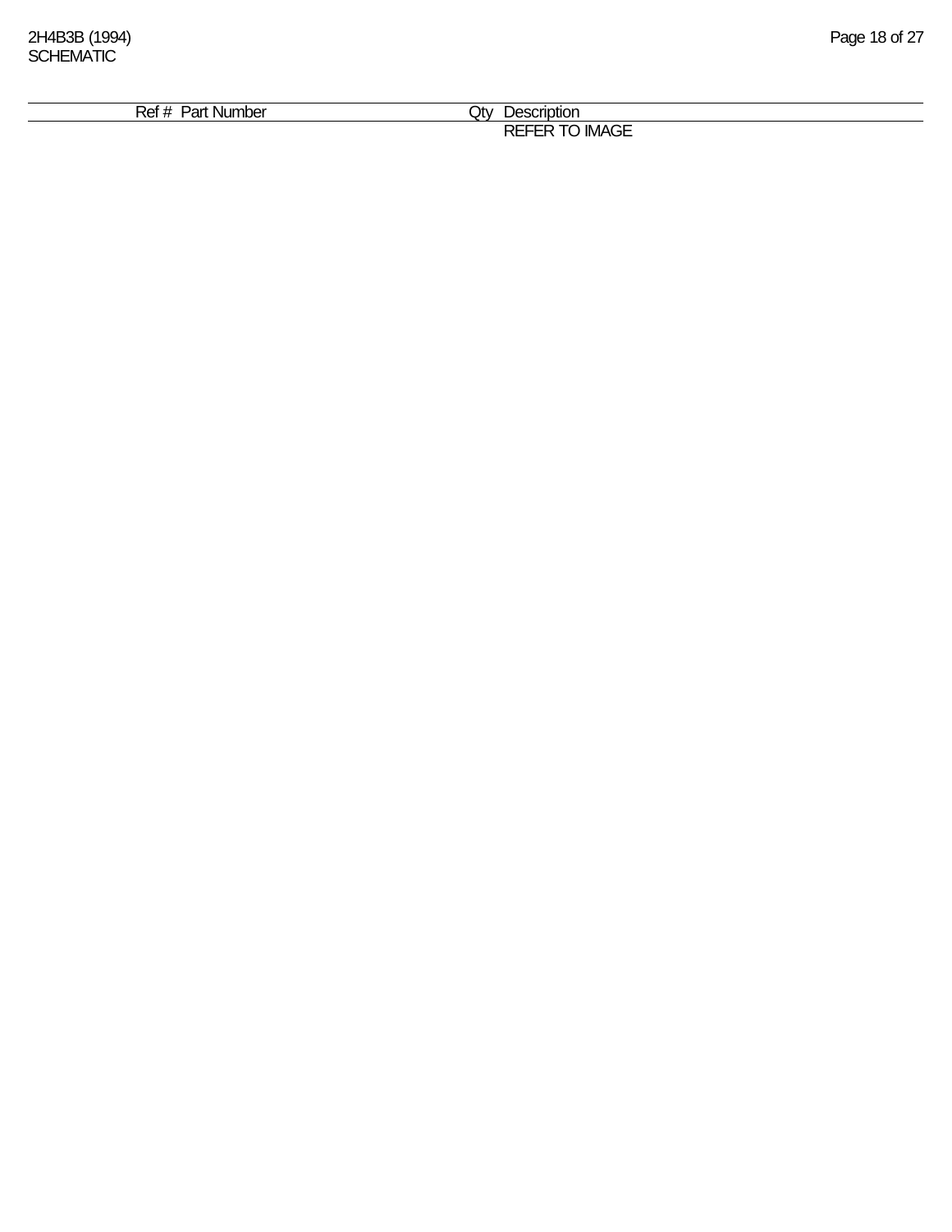| 101<br>aı.  | Jtv              |  |
|-------------|------------------|--|
| וטעו<br>ישו | ີ<br>$\sim$ $-$  |  |
|             | DE<br>IMA'<br>↖⊏ |  |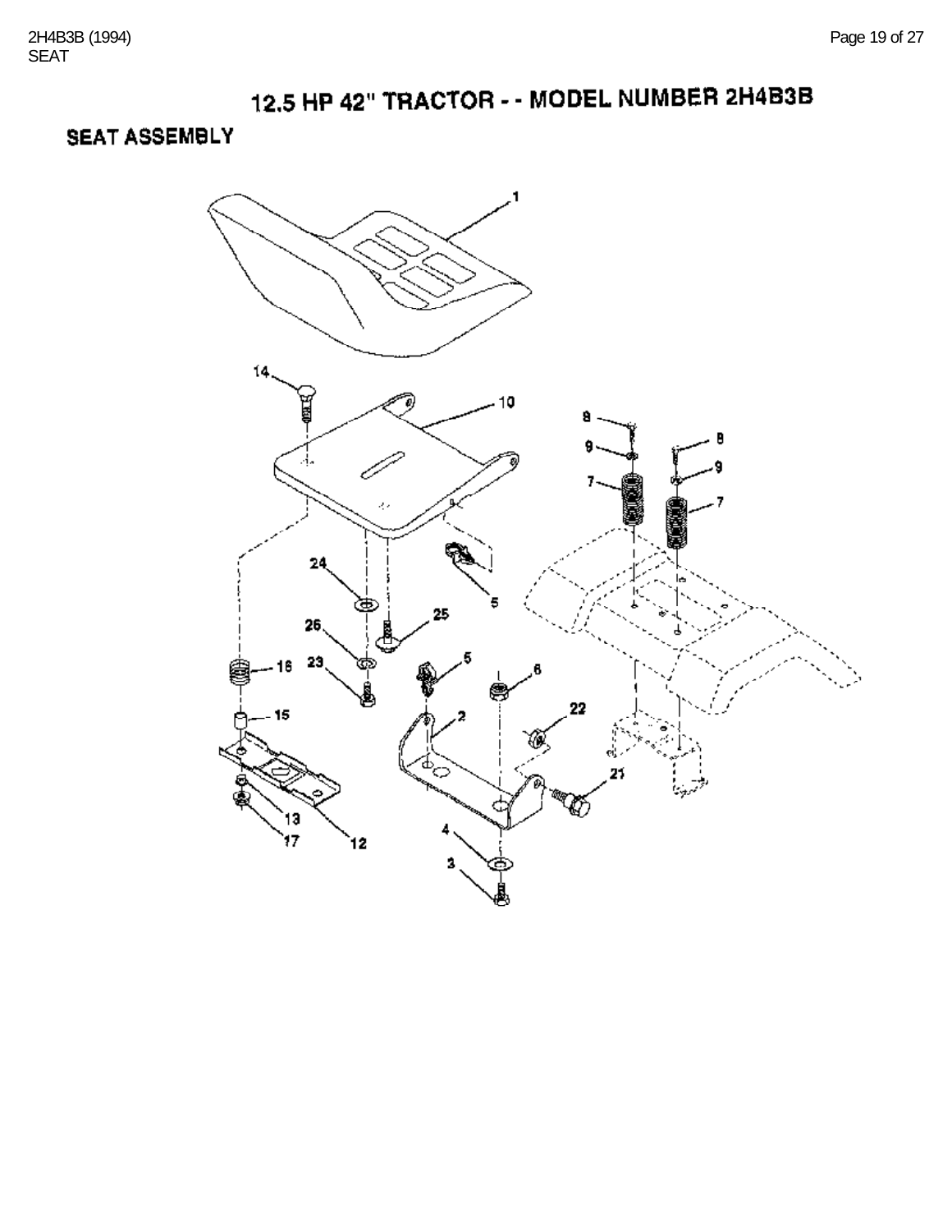**SEAT ASSEMBLY** 

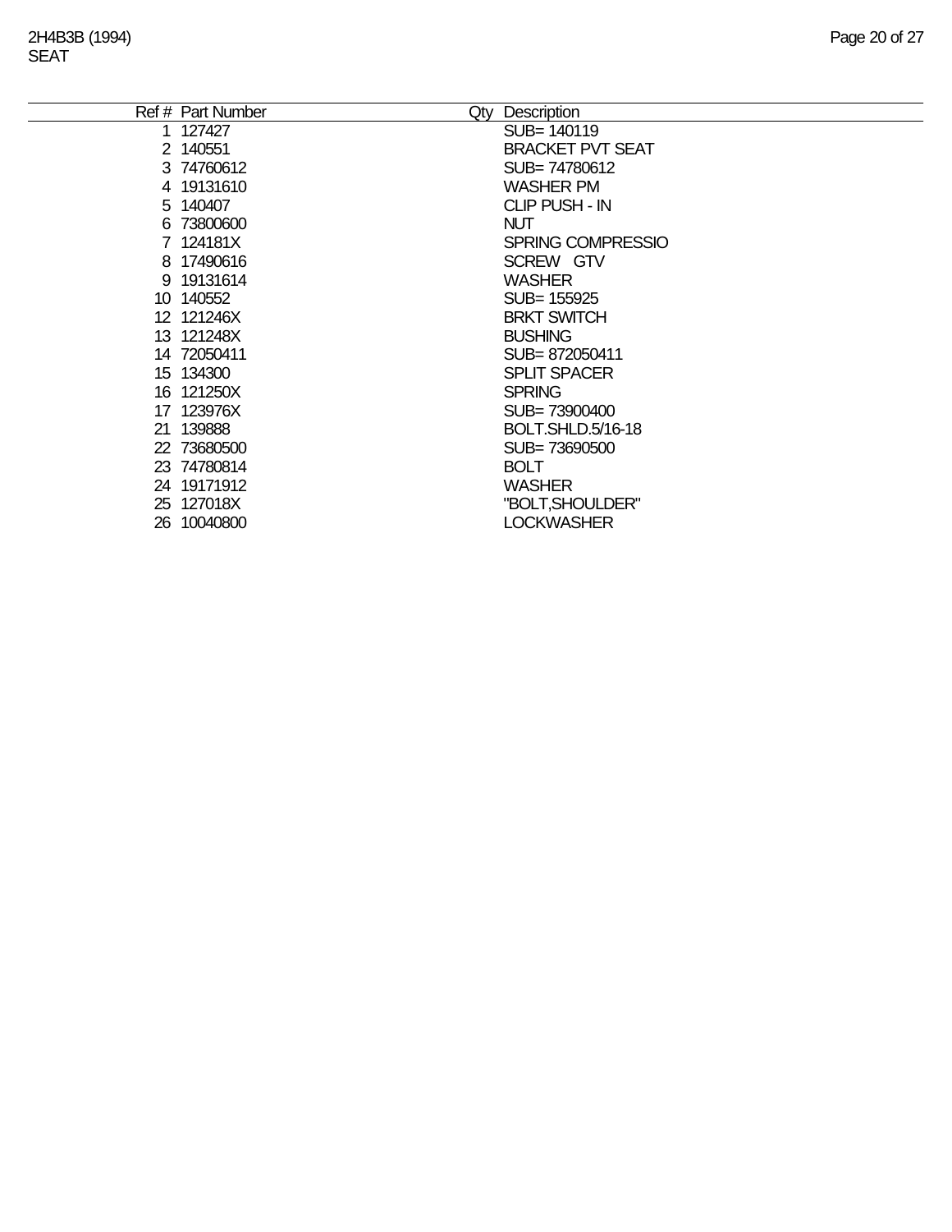| Ref # Part Number | Qty | <b>Description</b>       |
|-------------------|-----|--------------------------|
| 1 127427          |     | SUB=140119               |
| 2 140551          |     | <b>BRACKET PVT SEAT</b>  |
| 3 74760612        |     | SUB=74780612             |
| 4 19131610        |     | <b>WASHER PM</b>         |
| 5 140407          |     | <b>CLIP PUSH - IN</b>    |
| 6 73800600        |     | <b>NUT</b>               |
| 7 124181X         |     | SPRING COMPRESSIO        |
| 8 17490616        |     | SCREW GTV                |
| 9 19131614        |     | <b>WASHER</b>            |
| 10 140552         |     | SUB= 155925              |
| 12 121246X        |     | <b>BRKT SWITCH</b>       |
| 13 121248X        |     | <b>BUSHING</b>           |
| 14 72050411       |     | SUB=872050411            |
| 15 134300         |     | <b>SPLIT SPACER</b>      |
| 16 121250X        |     | <b>SPRING</b>            |
| 17 123976X        |     | SUB=73900400             |
| 21 139888         |     | <b>BOLT.SHLD.5/16-18</b> |
| 22 73680500       |     | SUB= 73690500            |
| 23 74780814       |     | <b>BOLT</b>              |
| 24 19171912       |     | <b>WASHER</b>            |
| 25 127018X        |     | "BOLT, SHOULDER"         |
| 26 10040800       |     | <b>LOCKWASHER</b>        |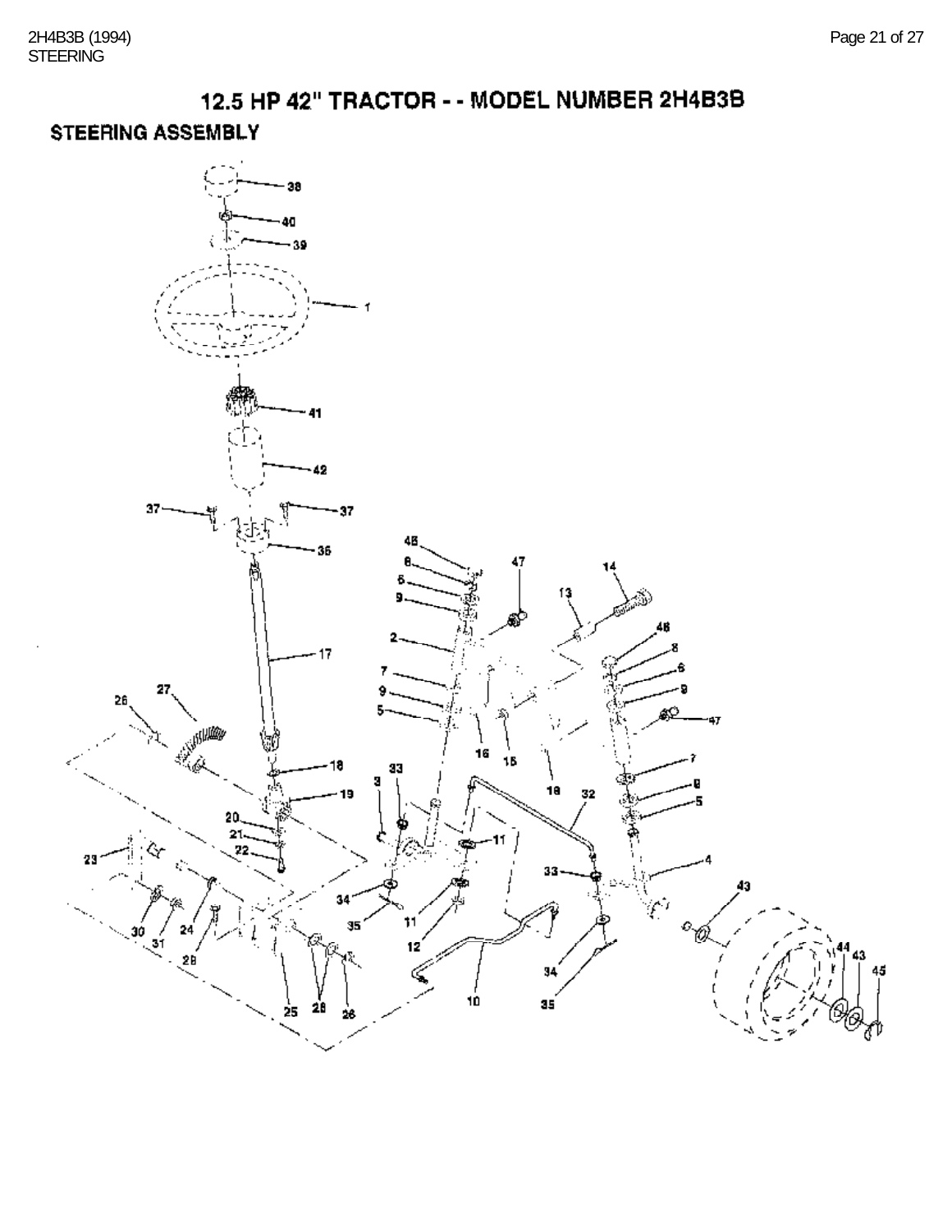## **STEERING ASSEMBLY**

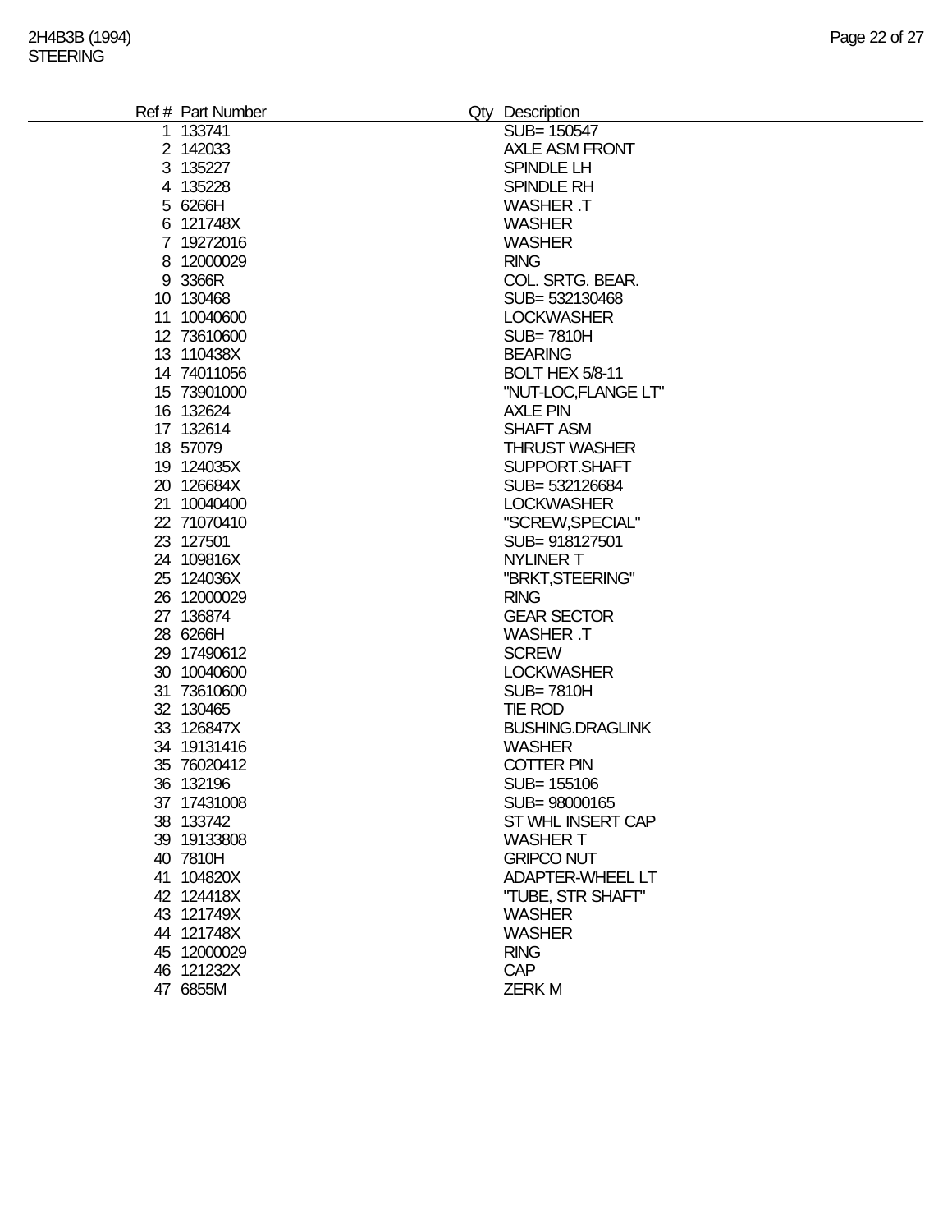| Ref # Part Number | Qty Description         |
|-------------------|-------------------------|
| 1 133741          | SUB= 150547             |
| 2 142033          | <b>AXLE ASM FRONT</b>   |
| 3 135227          | SPINDLE LH              |
| 4 135228          | SPINDLE RH              |
| 5 6266H           | <b>WASHER T</b>         |
| 6 121748X         | <b>WASHER</b>           |
| 7 19272016        | <b>WASHER</b>           |
| 8 12000029        | <b>RING</b>             |
|                   |                         |
| 9 3366R           | COL. SRTG. BEAR.        |
| 10 130468         | SUB= 532130468          |
| 11 10040600       | <b>LOCKWASHER</b>       |
| 12 73610600       | <b>SUB=7810H</b>        |
| 13 110438X        | <b>BEARING</b>          |
| 14 74011056       | <b>BOLT HEX 5/8-11</b>  |
| 15 73901000       | "NUT-LOC,FLANGE LT"     |
| 16 132624         | <b>AXLE PIN</b>         |
| 17 132614         | <b>SHAFT ASM</b>        |
| 18 57079          | <b>THRUST WASHER</b>    |
| 19 124035X        | SUPPORT.SHAFT           |
| 20 126684X        | SUB= 532126684          |
| 21 10040400       | <b>LOCKWASHER</b>       |
| 22 71070410       | "SCREW, SPECIAL"        |
| 23 127501         | SUB= 918127501          |
| 24 109816X        | <b>NYLINER T</b>        |
| 25 124036X        | "BRKT, STEERING"        |
| 26 12000029       | <b>RING</b>             |
| 27 136874         | <b>GEAR SECTOR</b>      |
| 28 6266H          | <b>WASHER T</b>         |
| 29 17490612       | <b>SCREW</b>            |
| 30 10040600       | <b>LOCKWASHER</b>       |
| 31 73610600       | <b>SUB=7810H</b>        |
| 32 130465         | <b>TIE ROD</b>          |
| 33 126847X        | <b>BUSHING.DRAGLINK</b> |
| 34 19131416       | <b>WASHER</b>           |
| 35 76020412       | <b>COTTER PIN</b>       |
| 36 132196         | SUB= 155106             |
| 37 17431008       | SUB= 98000165           |
| 38 133742         | ST WHL INSERT CAP       |
| 39 19133808       | <b>WASHER T</b>         |
| 40 7810H          | <b>GRIPCO NUT</b>       |
| 41 104820X        | <b>ADAPTER-WHEEL LT</b> |
| 42 124418X        | "TUBE, STR SHAFT"       |
| 43 121749X        | <b>WASHER</b>           |
| 44 121748X        | <b>WASHER</b>           |
| 45 12000029       | <b>RING</b>             |
| 46 121232X        | <b>CAP</b>              |
| 47 6855M          | <b>ZERKM</b>            |
|                   |                         |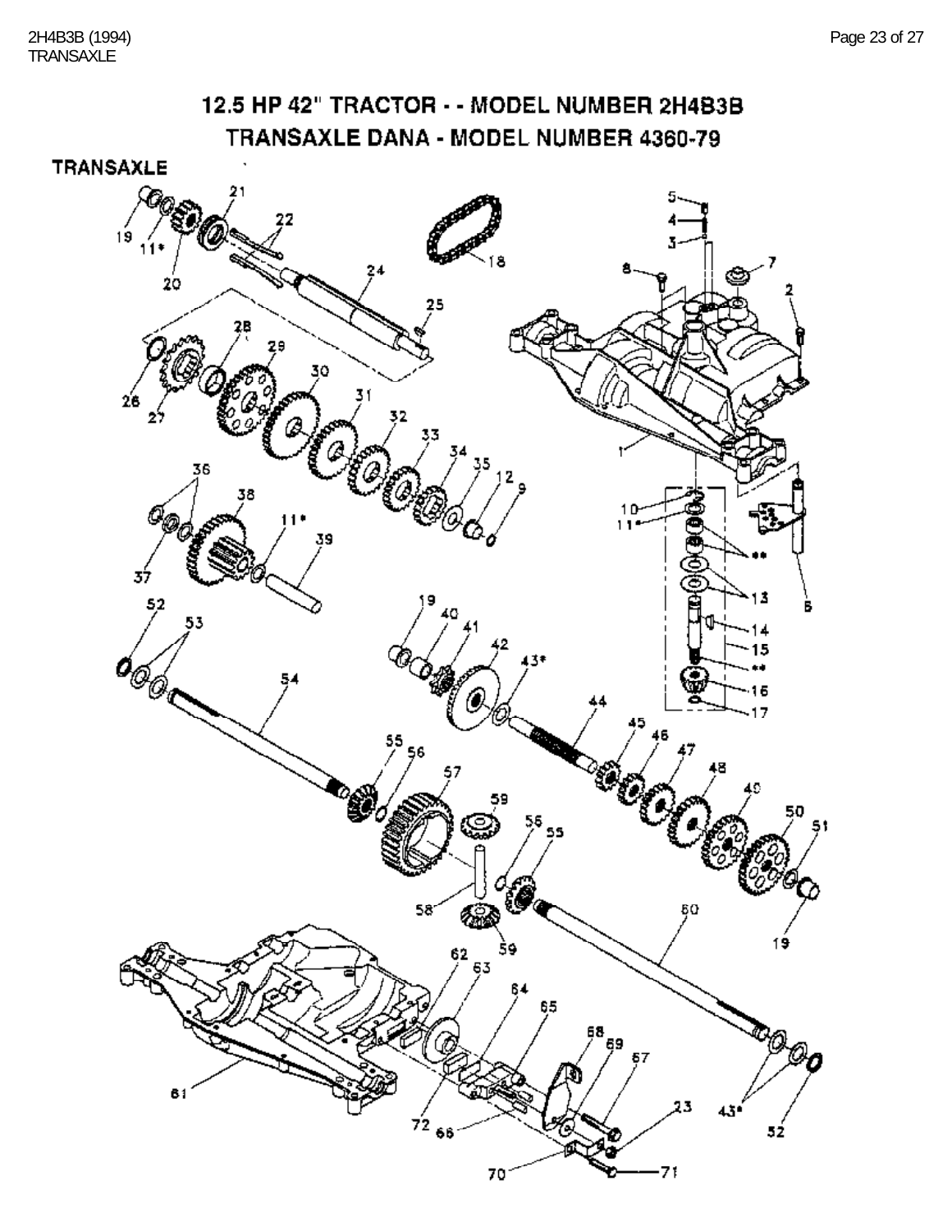#### 12.5 HP 42" TRACTOR - - MODEL NUMBER 2H4B3B TRANSAXLE DANA - MODEL NUMBER 4360-79 **TRANSAXLE** έ. 2B Ż  $5,2$ B. ۱T  $\mathcal{O}_{\mathcal{O}_{\mathcal{C}}}$  $-17$ ı5  $\frac{56}{3}$ ţ. 56 55 C Ø 磁 \$9  $7^{2}_{2}$  68 4 T  $-71$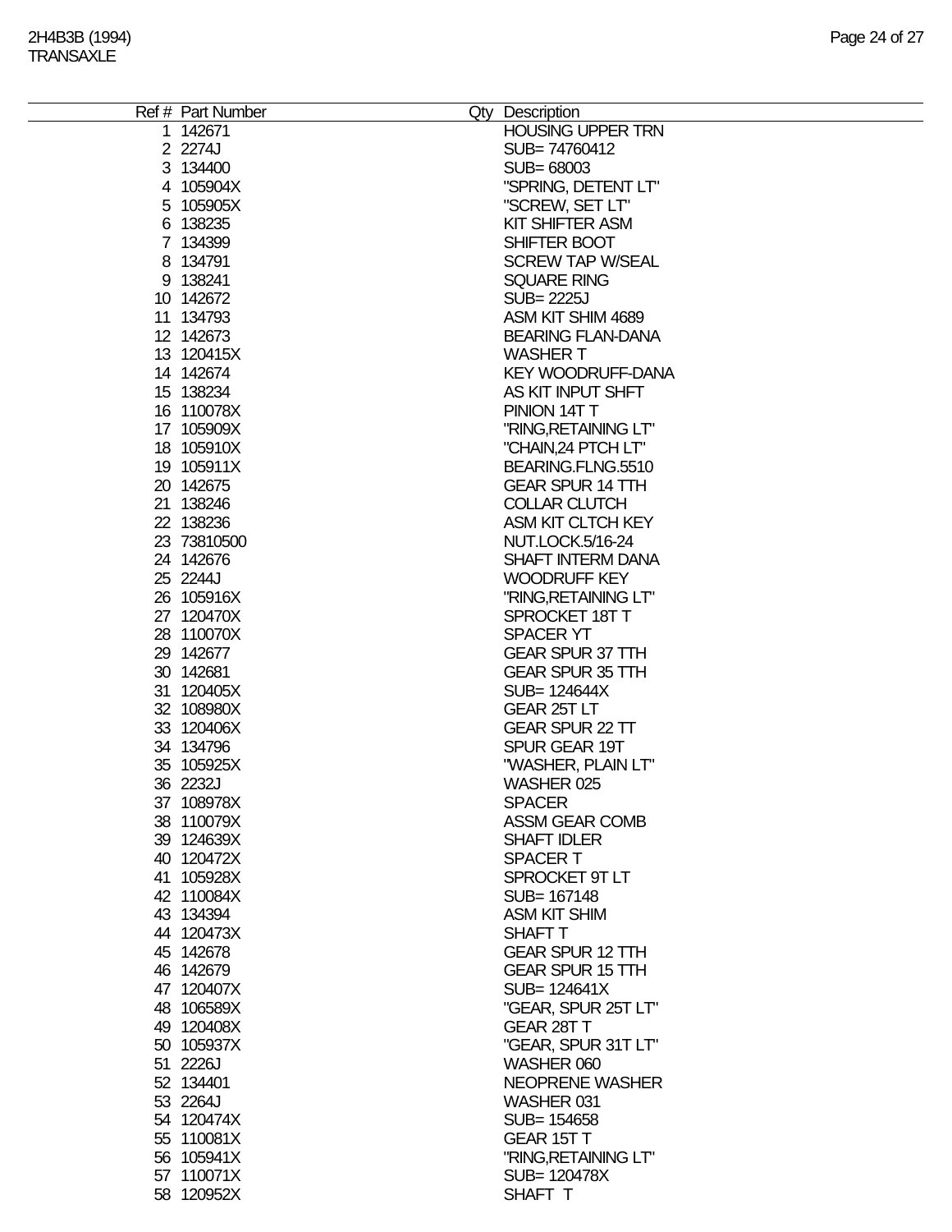| Ref # Part Number | Qty Description          |
|-------------------|--------------------------|
| 1 142671          | <b>HOUSING UPPER TRN</b> |
| 2 2274J           | SUB=74760412             |
| 3 134400          | SUB= 68003               |
| 4 105904X         | "SPRING, DETENT LT"      |
| 5 105905X         | "SCREW, SET LT"          |
| 6 138235          | <b>KIT SHIFTER ASM</b>   |
| 7 134399          | SHIFTER BOOT             |
|                   |                          |
| 8 134791          | <b>SCREW TAP W/SEAL</b>  |
| 9 138241          | <b>SQUARE RING</b>       |
| 10 142672         | <b>SUB=2225J</b>         |
| 11 134793         | ASM KIT SHIM 4689        |
| 12 142673         | <b>BEARING FLAN-DANA</b> |
| 13 120415X        | <b>WASHER T</b>          |
| 14 14 2674        | <b>KEY WOODRUFF-DANA</b> |
| 15 138234         | AS KIT INPUT SHFT        |
| 16 110078X        | PINION 14T T             |
| 17 105909X        | "RING, RETAINING LT"     |
| 18 105910X        | "CHAIN, 24 PTCH LT"      |
| 19 105911X        |                          |
|                   | BEARING.FLNG.5510        |
| 20 142675         | <b>GEAR SPUR 14 TTH</b>  |
| 21 138246         | <b>COLLAR CLUTCH</b>     |
| 22 138236         | ASM KIT CLTCH KEY        |
| 23 73810500       | NUT.LOCK.5/16-24         |
| 24 142676         | <b>SHAFT INTERM DANA</b> |
| 25 2244J          | <b>WOODRUFF KEY</b>      |
| 26 105916X        | "RING, RETAINING LT"     |
| 27 120470X        | SPROCKET 18T T           |
| 28 110070X        | <b>SPACER YT</b>         |
| 29 142677         | <b>GEAR SPUR 37 TTH</b>  |
| 30 142681         | <b>GEAR SPUR 35 TTH</b>  |
|                   |                          |
| 31 120405X        | SUB= 124644X             |
| 32 108980X        | GEAR 25T LT              |
| 33 120406X        | <b>GEAR SPUR 22 TT</b>   |
| 34 134796         | SPUR GEAR 19T            |
| 35 105925X        | "WASHER, PLAIN LT"       |
| 36 2232J          | WASHER 025               |
| 37 108978X        | <b>SPACER</b>            |
| 38 110079X        | ASSM GEAR COMB           |
| 39 124639X        | <b>SHAFT IDLER</b>       |
| 40 120472X        | <b>SPACER T</b>          |
| 41 105928X        | SPROCKET 9T LT           |
| 42 110084X        | SUB= 167148              |
| 43 134394         | <b>ASM KIT SHIM</b>      |
|                   |                          |
| 44 120473X        | SHAFT T                  |
| 45 142678         | <b>GEAR SPUR 12 TTH</b>  |
| 46 142679         | <b>GEAR SPUR 15 TTH</b>  |
| 47 120407X        | SUB= 124641X             |
| 48 106589X        | "GEAR, SPUR 25T LT"      |
| 49 120408X        | GEAR 28T T               |
| 50 105937X        | "GEAR, SPUR 31T LT"      |
| 51 2226J          | WASHER 060               |
| 52 134401         | NEOPRENE WASHER          |
| 53 2264J          | WASHER 031               |
| 54 120474X        | SUB= 154658              |
| 55 110081X        | GEAR 15T T               |
|                   |                          |
| 56 105941X        | "RING, RETAINING LT"     |
| 57 110071X        | SUB= 120478X             |
| 58 120952X        | SHAFT T                  |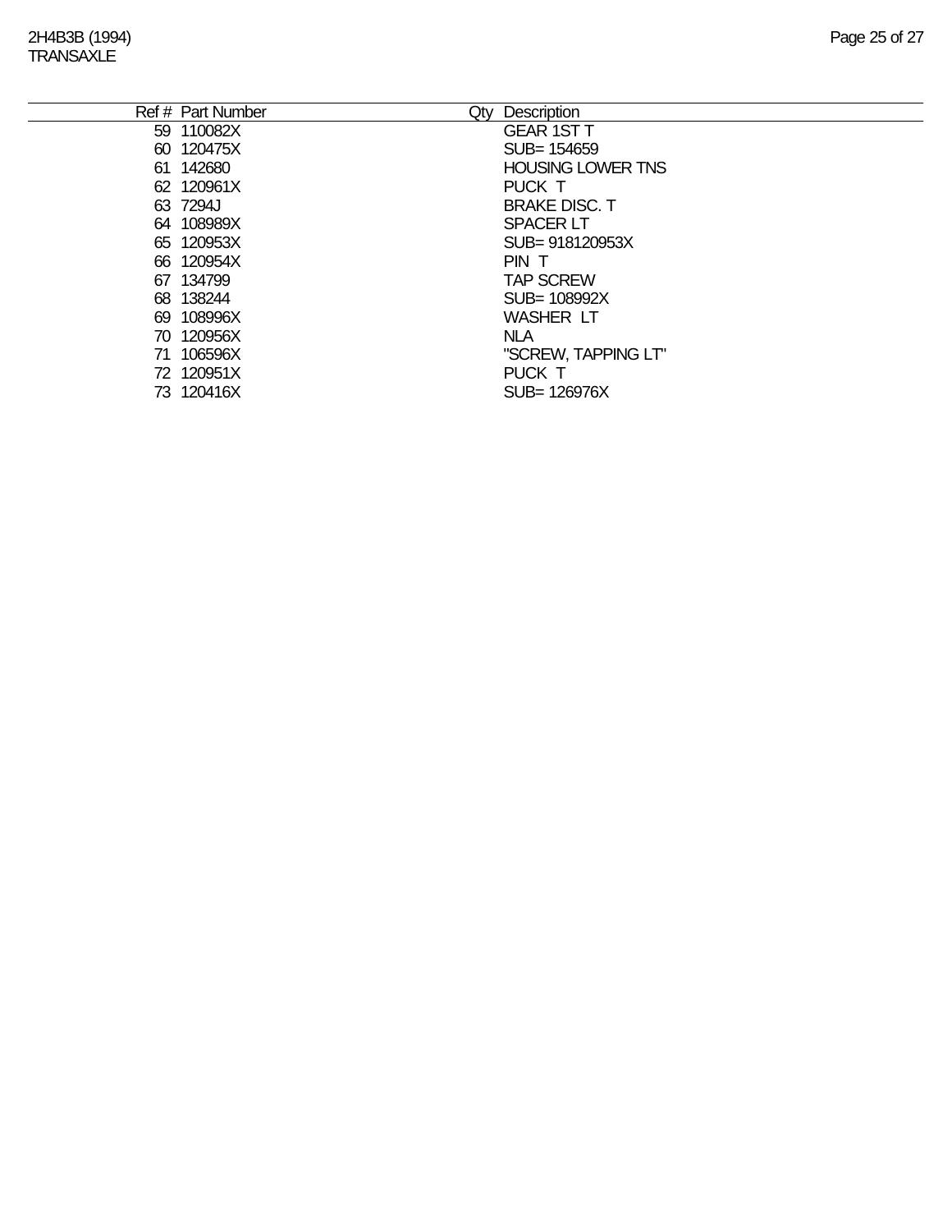| Ref # Part Number |                          |
|-------------------|--------------------------|
| Qty               | Description              |
| 59 110082X        | <b>GEAR 1ST T</b>        |
| 60 120475X        | SUB= 154659              |
| 61 142680         | <b>HOUSING LOWER TNS</b> |
| 62 120961X        | PUCK T                   |
| 63 7294J          | <b>BRAKE DISC. T</b>     |
| 64 108989X        | <b>SPACER LT</b>         |
| 65 120953X        | SUB= 918120953X          |
| 66 120954X        | PIN T                    |
| 67 134799         | <b>TAP SCREW</b>         |
| 68 138244         | SUB= 108992X             |
| 69 108996X        | <b>WASHER LT</b>         |
| 70 120956X        | <b>NLA</b>               |
| 71 106596X        | "SCREW, TAPPING LT"      |
| 72 120951X        | PUCK T                   |
| 73 120416X        | SUB= 126976X             |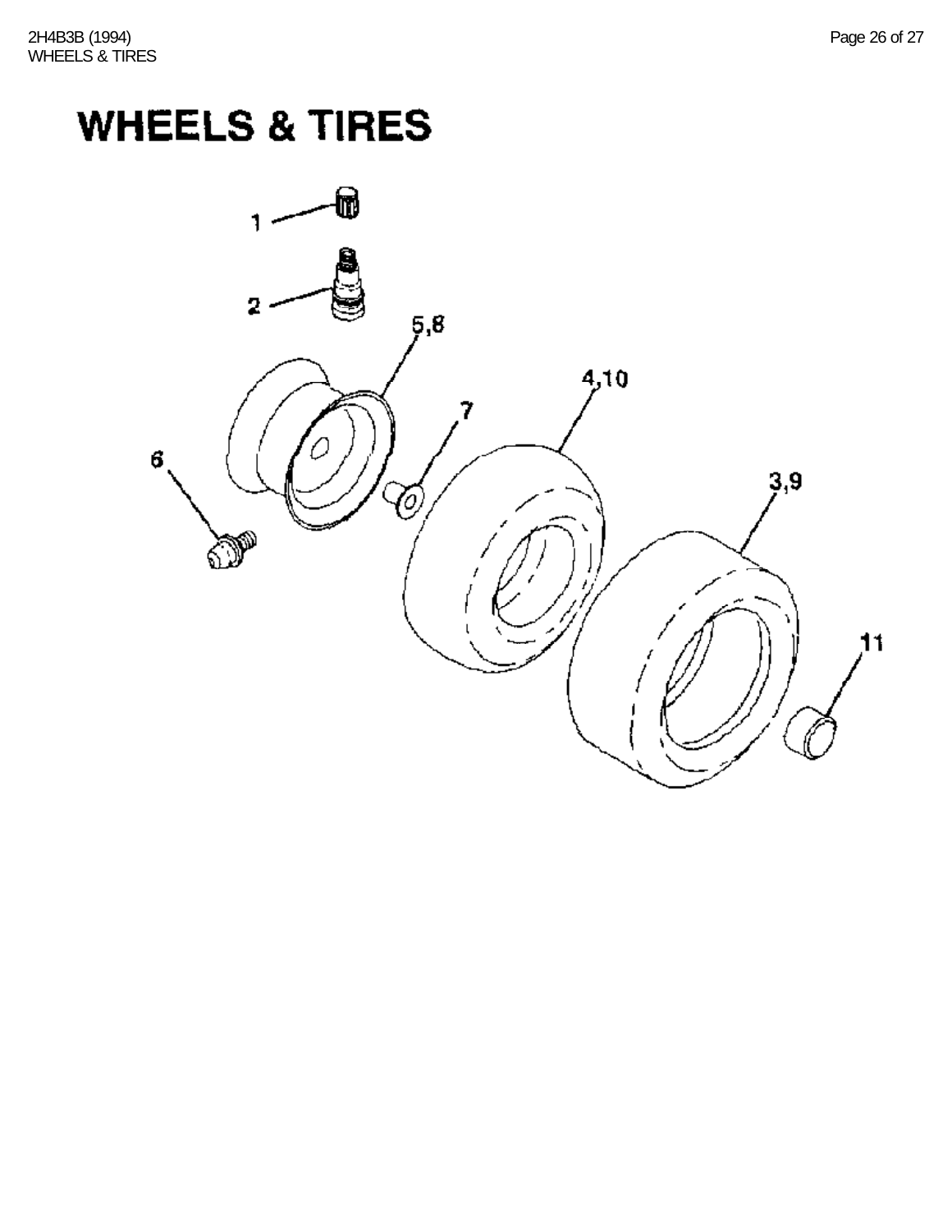# **WHEELS & TIRES**